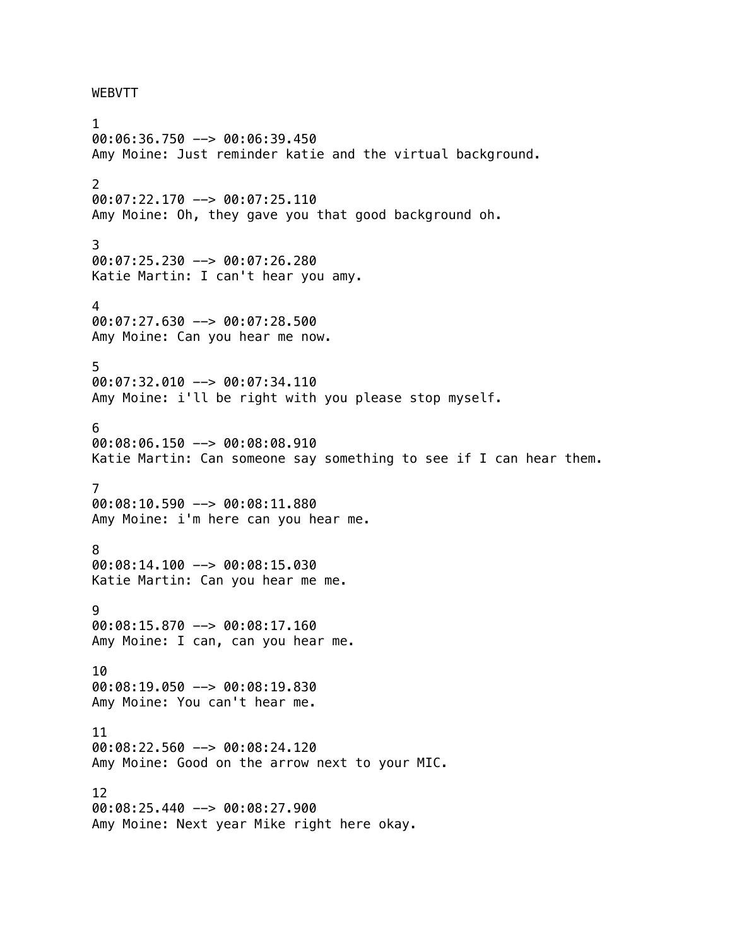## WEBVTT

1 00:06:36.750 --> 00:06:39.450 Amy Moine: Just reminder katie and the virtual background. 2 00:07:22.170 --> 00:07:25.110 Amy Moine: Oh, they gave you that good background oh. 3 00:07:25.230 --> 00:07:26.280 Katie Martin: I can't hear you amy. 4 00:07:27.630 --> 00:07:28.500 Amy Moine: Can you hear me now. 5 00:07:32.010 --> 00:07:34.110 Amy Moine: i'll be right with you please stop myself. 6 00:08:06.150 --> 00:08:08.910 Katie Martin: Can someone say something to see if I can hear them. 7 00:08:10.590 --> 00:08:11.880 Amy Moine: i'm here can you hear me. 8 00:08:14.100 --> 00:08:15.030 Katie Martin: Can you hear me me. 9 00:08:15.870 --> 00:08:17.160 Amy Moine: I can, can you hear me. 10 00:08:19.050 --> 00:08:19.830 Amy Moine: You can't hear me. 11 00:08:22.560 --> 00:08:24.120 Amy Moine: Good on the arrow next to your MIC. 12 00:08:25.440 --> 00:08:27.900 Amy Moine: Next year Mike right here okay.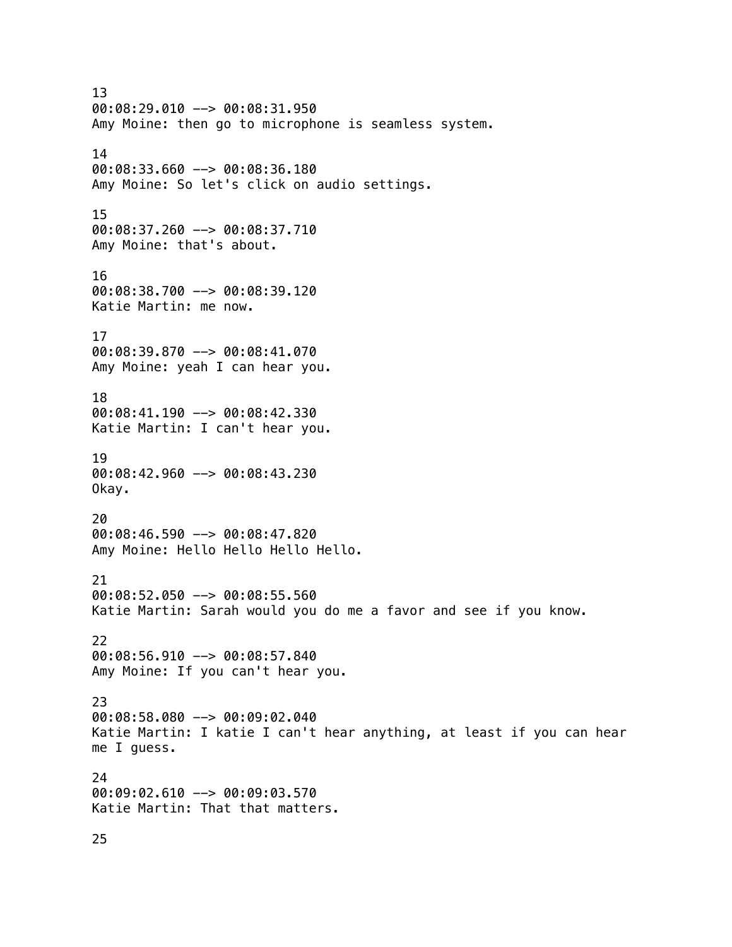13 00:08:29.010 --> 00:08:31.950 Amy Moine: then go to microphone is seamless system. 14 00:08:33.660 --> 00:08:36.180 Amy Moine: So let's click on audio settings. 15 00:08:37.260 --> 00:08:37.710 Amy Moine: that's about. 16 00:08:38.700 --> 00:08:39.120 Katie Martin: me now. 17 00:08:39.870 --> 00:08:41.070 Amy Moine: yeah I can hear you. 18 00:08:41.190 --> 00:08:42.330 Katie Martin: I can't hear you. 19 00:08:42.960 --> 00:08:43.230 Okay. 20 00:08:46.590 --> 00:08:47.820 Amy Moine: Hello Hello Hello Hello. 21 00:08:52.050 --> 00:08:55.560 Katie Martin: Sarah would you do me a favor and see if you know. 22 00:08:56.910 --> 00:08:57.840 Amy Moine: If you can't hear you. 23 00:08:58.080 --> 00:09:02.040 Katie Martin: I katie I can't hear anything, at least if you can hear me I guess. 24 00:09:02.610 --> 00:09:03.570 Katie Martin: That that matters.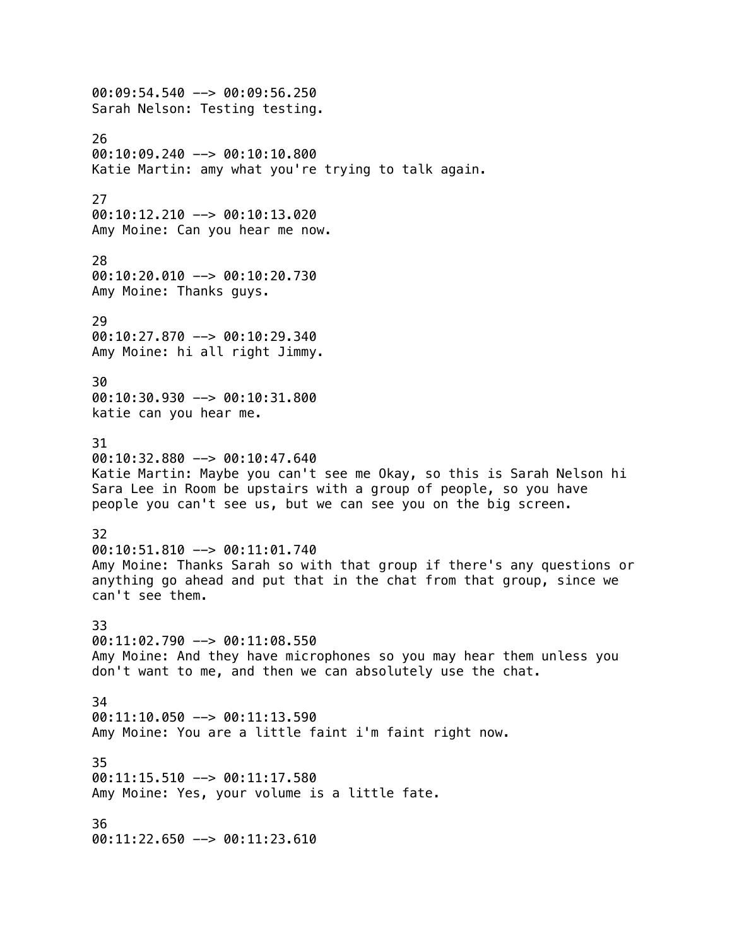00:09:54.540 --> 00:09:56.250 Sarah Nelson: Testing testing. 26 00:10:09.240 --> 00:10:10.800 Katie Martin: amy what you're trying to talk again. 27 00:10:12.210 --> 00:10:13.020 Amy Moine: Can you hear me now. 28 00:10:20.010 --> 00:10:20.730 Amy Moine: Thanks guys. 29 00:10:27.870 --> 00:10:29.340 Amy Moine: hi all right Jimmy. 30 00:10:30.930 --> 00:10:31.800 katie can you hear me. 31  $00:10:32.880$  -->  $00:10:47.640$ Katie Martin: Maybe you can't see me Okay, so this is Sarah Nelson hi Sara Lee in Room be upstairs with a group of people, so you have people you can't see us, but we can see you on the big screen. 32 00:10:51.810 --> 00:11:01.740 Amy Moine: Thanks Sarah so with that group if there's any questions or anything go ahead and put that in the chat from that group, since we can't see them. 33  $00:11:02.790$  -->  $00:11:08.550$ Amy Moine: And they have microphones so you may hear them unless you don't want to me, and then we can absolutely use the chat. 34 00:11:10.050 --> 00:11:13.590 Amy Moine: You are a little faint i'm faint right now. 35 00:11:15.510 --> 00:11:17.580 Amy Moine: Yes, your volume is a little fate. 36 00:11:22.650 --> 00:11:23.610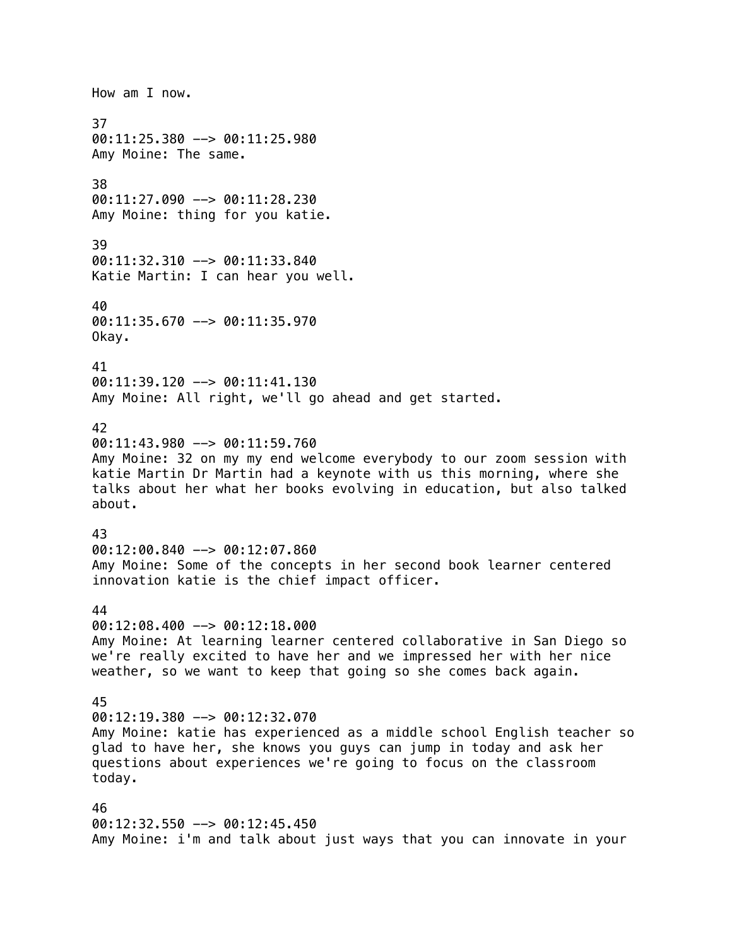How am I now. 37 00:11:25.380 --> 00:11:25.980 Amy Moine: The same. 38  $00:11:27.090$  -->  $00:11:28.230$ Amy Moine: thing for you katie. 39 00:11:32.310 --> 00:11:33.840 Katie Martin: I can hear you well. 40 00:11:35.670 --> 00:11:35.970 Okay. 41  $00:11:39.120$  -->  $00:11:41.130$ Amy Moine: All right, we'll go ahead and get started. 42 00:11:43.980 --> 00:11:59.760 Amy Moine: 32 on my my end welcome everybody to our zoom session with katie Martin Dr Martin had a keynote with us this morning, where she talks about her what her books evolving in education, but also talked about. 43 00:12:00.840 --> 00:12:07.860 Amy Moine: Some of the concepts in her second book learner centered innovation katie is the chief impact officer. 44 00:12:08.400 --> 00:12:18.000 Amy Moine: At learning learner centered collaborative in San Diego so we're really excited to have her and we impressed her with her nice weather, so we want to keep that going so she comes back again. 45 00:12:19.380 --> 00:12:32.070 Amy Moine: katie has experienced as a middle school English teacher so glad to have her, she knows you guys can jump in today and ask her questions about experiences we're going to focus on the classroom today. 46 00:12:32.550 --> 00:12:45.450 Amy Moine: i'm and talk about just ways that you can innovate in your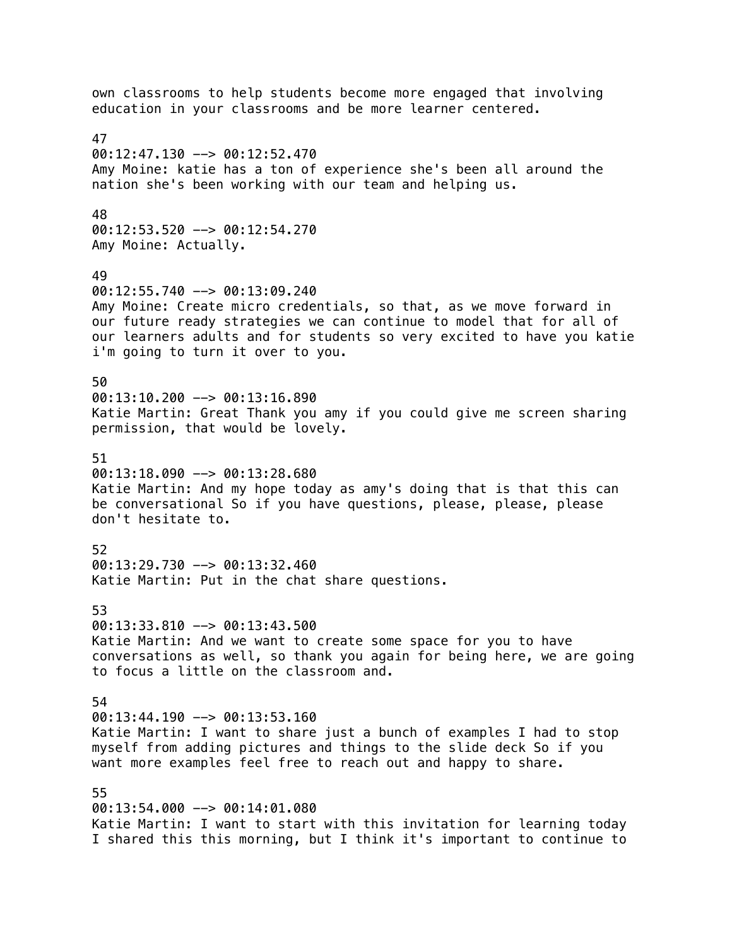own classrooms to help students become more engaged that involving education in your classrooms and be more learner centered. 47  $00:12:47.130$  -->  $00:12:52.470$ Amy Moine: katie has a ton of experience she's been all around the nation she's been working with our team and helping us. 48 00:12:53.520 --> 00:12:54.270 Amy Moine: Actually. 49  $00:12:55.740$  -->  $00:13:09.240$ Amy Moine: Create micro credentials, so that, as we move forward in our future ready strategies we can continue to model that for all of our learners adults and for students so very excited to have you katie i'm going to turn it over to you. 50 00:13:10.200 --> 00:13:16.890 Katie Martin: Great Thank you amy if you could give me screen sharing permission, that would be lovely. 51  $00:13:18.090$  -->  $00:13:28.680$ Katie Martin: And my hope today as amy's doing that is that this can be conversational So if you have questions, please, please, please don't hesitate to. 52 00:13:29.730 --> 00:13:32.460 Katie Martin: Put in the chat share questions. 53 00:13:33.810 --> 00:13:43.500 Katie Martin: And we want to create some space for you to have conversations as well, so thank you again for being here, we are going to focus a little on the classroom and. 54 00:13:44.190 --> 00:13:53.160 Katie Martin: I want to share just a bunch of examples I had to stop myself from adding pictures and things to the slide deck So if you want more examples feel free to reach out and happy to share. 55 00:13:54.000 --> 00:14:01.080 Katie Martin: I want to start with this invitation for learning today I shared this this morning, but I think it's important to continue to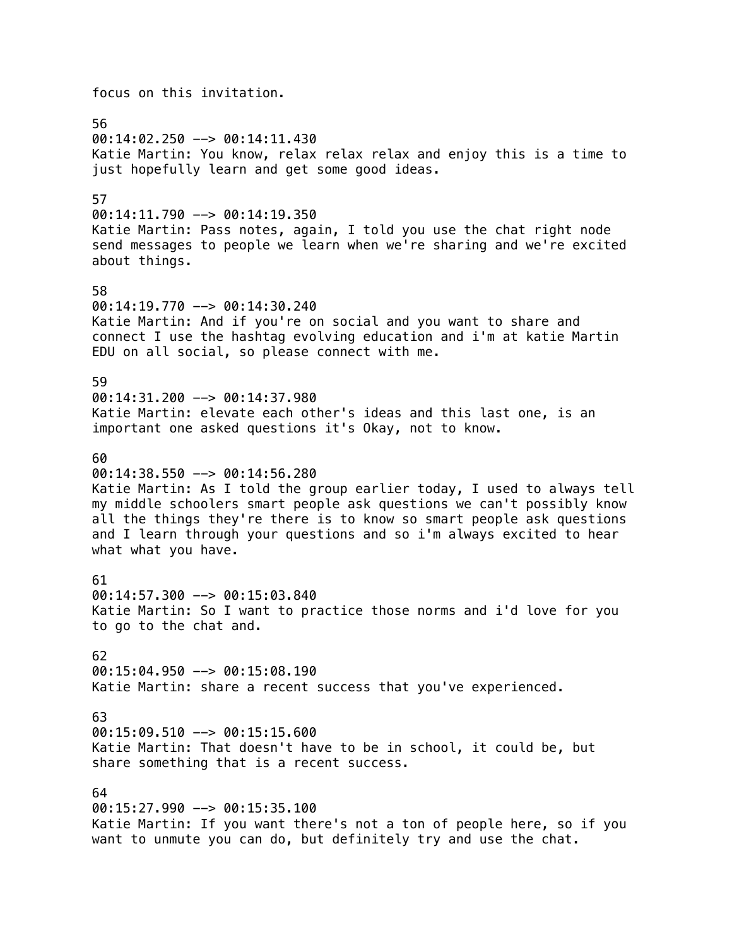focus on this invitation. 56 00:14:02.250 --> 00:14:11.430 Katie Martin: You know, relax relax relax and enjoy this is a time to just hopefully learn and get some good ideas. 57 00:14:11.790 --> 00:14:19.350 Katie Martin: Pass notes, again, I told you use the chat right node send messages to people we learn when we're sharing and we're excited about things. 58 00:14:19.770 --> 00:14:30.240 Katie Martin: And if you're on social and you want to share and connect I use the hashtag evolving education and i'm at katie Martin EDU on all social, so please connect with me. 59 00:14:31.200 --> 00:14:37.980 Katie Martin: elevate each other's ideas and this last one, is an important one asked questions it's Okay, not to know. 60 00:14:38.550 --> 00:14:56.280 Katie Martin: As I told the group earlier today, I used to always tell my middle schoolers smart people ask questions we can't possibly know all the things they're there is to know so smart people ask questions and I learn through your questions and so i'm always excited to hear what what you have. 61 00:14:57.300 --> 00:15:03.840 Katie Martin: So I want to practice those norms and i'd love for you to go to the chat and. 62 00:15:04.950 --> 00:15:08.190 Katie Martin: share a recent success that you've experienced. 63 00:15:09.510 --> 00:15:15.600 Katie Martin: That doesn't have to be in school, it could be, but share something that is a recent success. 64 00:15:27.990 --> 00:15:35.100 Katie Martin: If you want there's not a ton of people here, so if you want to unmute you can do, but definitely try and use the chat.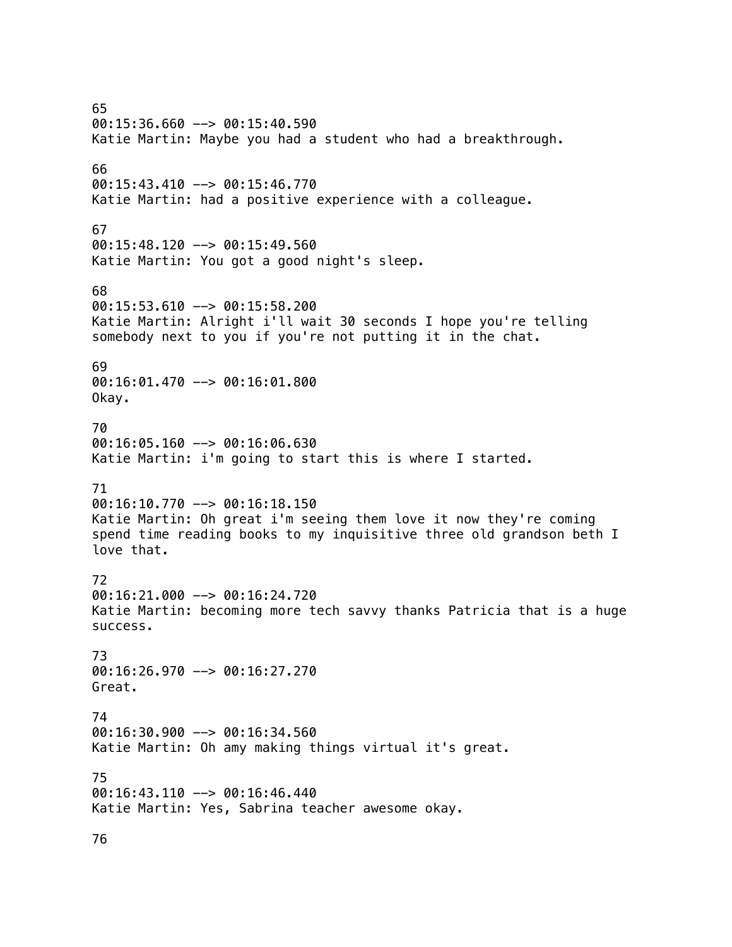65 00:15:36.660 --> 00:15:40.590 Katie Martin: Maybe you had a student who had a breakthrough. 66 00:15:43.410 --> 00:15:46.770 Katie Martin: had a positive experience with a colleague. 67 00:15:48.120 --> 00:15:49.560 Katie Martin: You got a good night's sleep. 68  $00:15:53.610$  -->  $00:15:58.200$ Katie Martin: Alright i'll wait 30 seconds I hope you're telling somebody next to you if you're not putting it in the chat. 69 00:16:01.470 --> 00:16:01.800 Okay. 70  $00:16:05.160$  -->  $00:16:06.630$ Katie Martin: i'm going to start this is where I started. 71  $00:16:10.770$  -->  $00:16:18.150$ Katie Martin: Oh great i'm seeing them love it now they're coming spend time reading books to my inquisitive three old grandson beth I love that. 72 00:16:21.000 --> 00:16:24.720 Katie Martin: becoming more tech savvy thanks Patricia that is a huge success. 73 00:16:26.970 --> 00:16:27.270 Great. 74 00:16:30.900 --> 00:16:34.560 Katie Martin: Oh amy making things virtual it's great. 75 00:16:43.110 --> 00:16:46.440 Katie Martin: Yes, Sabrina teacher awesome okay.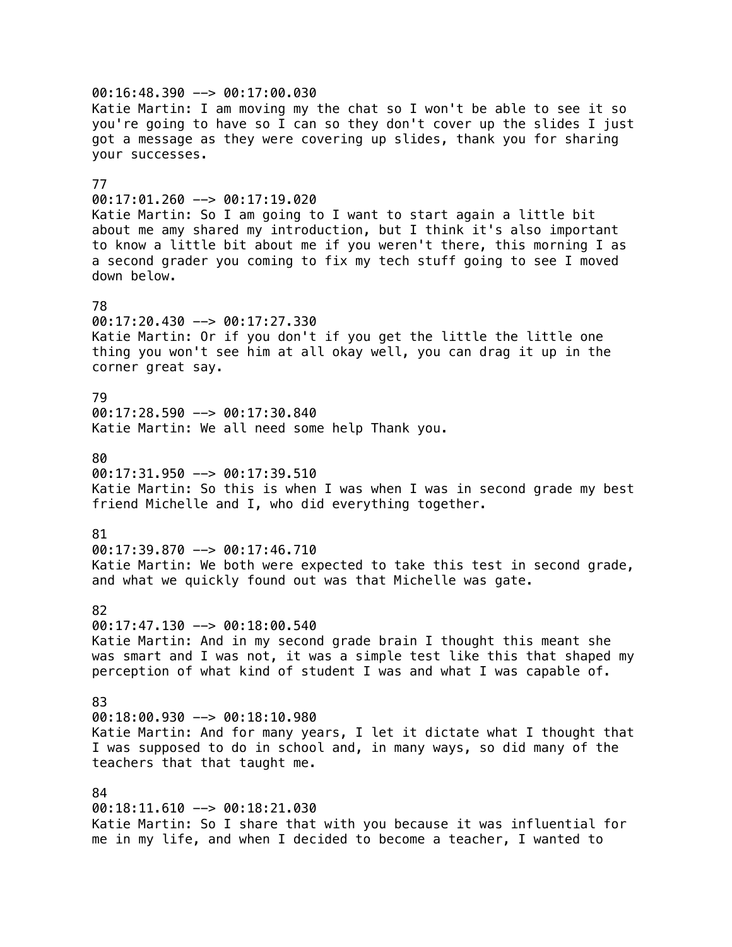00:16:48.390 --> 00:17:00.030 Katie Martin: I am moving my the chat so I won't be able to see it so you're going to have so I can so they don't cover up the slides I just got a message as they were covering up slides, thank you for sharing your successes. 77 00:17:01.260 --> 00:17:19.020 Katie Martin: So I am going to I want to start again a little bit about me amy shared my introduction, but I think it's also important to know a little bit about me if you weren't there, this morning I as a second grader you coming to fix my tech stuff going to see I moved down below. 78 00:17:20.430 --> 00:17:27.330 Katie Martin: Or if you don't if you get the little the little one thing you won't see him at all okay well, you can drag it up in the corner great say. 79 00:17:28.590 --> 00:17:30.840 Katie Martin: We all need some help Thank you. 80 00:17:31.950 --> 00:17:39.510 Katie Martin: So this is when I was when I was in second grade my best friend Michelle and I, who did everything together. 81  $00:17:39.870$  -->  $00:17:46.710$ Katie Martin: We both were expected to take this test in second grade, and what we quickly found out was that Michelle was gate. 82 00:17:47.130 --> 00:18:00.540 Katie Martin: And in my second grade brain I thought this meant she was smart and I was not, it was a simple test like this that shaped my perception of what kind of student I was and what I was capable of. 83 00:18:00.930 --> 00:18:10.980 Katie Martin: And for many years, I let it dictate what I thought that I was supposed to do in school and, in many ways, so did many of the teachers that that taught me. 84 00:18:11.610 --> 00:18:21.030 Katie Martin: So I share that with you because it was influential for me in my life, and when I decided to become a teacher, I wanted to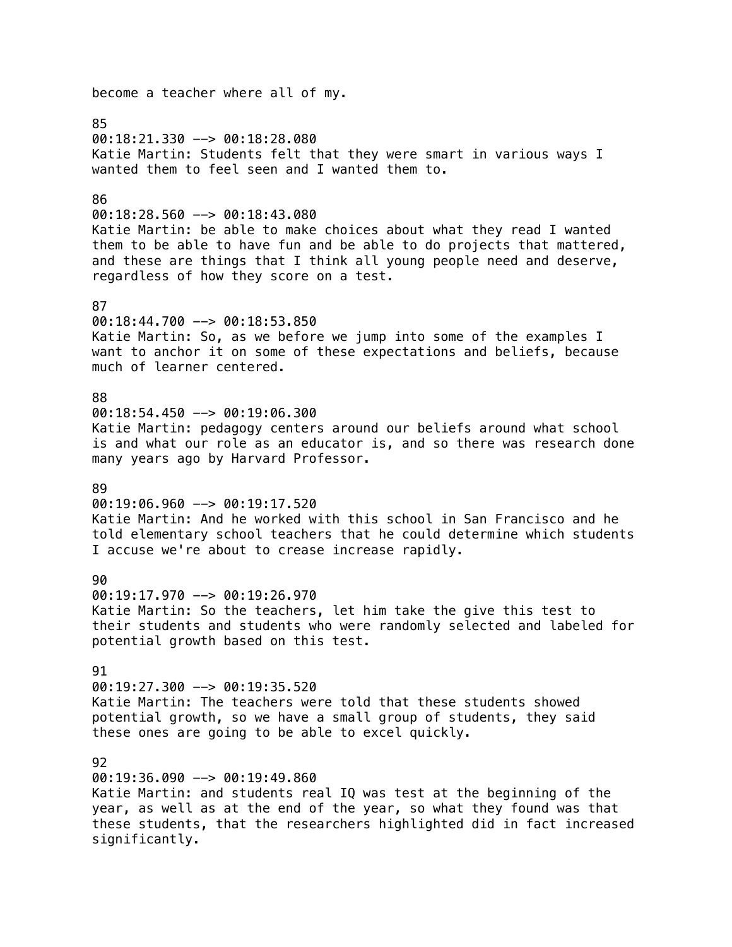become a teacher where all of my. 85 00:18:21.330 --> 00:18:28.080 Katie Martin: Students felt that they were smart in various ways I wanted them to feel seen and I wanted them to. 86 00:18:28.560 --> 00:18:43.080 Katie Martin: be able to make choices about what they read I wanted them to be able to have fun and be able to do projects that mattered, and these are things that I think all young people need and deserve, regardless of how they score on a test. 87 00:18:44.700 --> 00:18:53.850 Katie Martin: So, as we before we jump into some of the examples I want to anchor it on some of these expectations and beliefs, because much of learner centered. 88 00:18:54.450 --> 00:19:06.300 Katie Martin: pedagogy centers around our beliefs around what school is and what our role as an educator is, and so there was research done many years ago by Harvard Professor. 89  $00:19:06.960$  -->  $00:19:17.520$ Katie Martin: And he worked with this school in San Francisco and he told elementary school teachers that he could determine which students I accuse we're about to crease increase rapidly.  $90$ 00:19:17.970 --> 00:19:26.970 Katie Martin: So the teachers, let him take the give this test to their students and students who were randomly selected and labeled for potential growth based on this test. 91 00:19:27.300 --> 00:19:35.520 Katie Martin: The teachers were told that these students showed potential growth, so we have a small group of students, they said these ones are going to be able to excel quickly. 92 00:19:36.090 --> 00:19:49.860 Katie Martin: and students real IQ was test at the beginning of the year, as well as at the end of the year, so what they found was that these students, that the researchers highlighted did in fact increased significantly.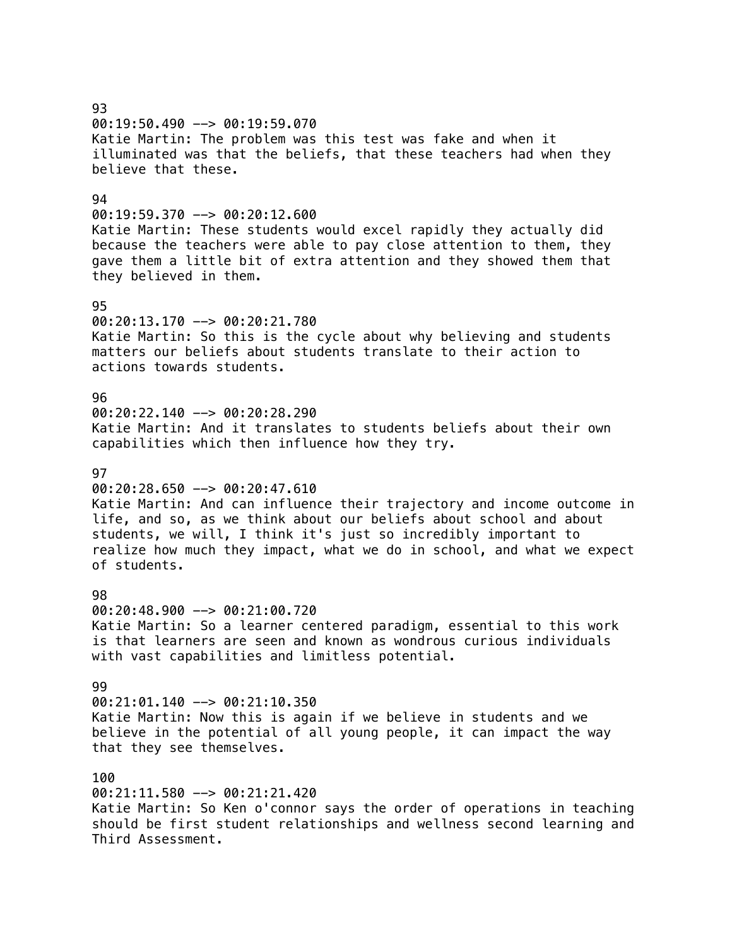93 00:19:50.490 --> 00:19:59.070 Katie Martin: The problem was this test was fake and when it illuminated was that the beliefs, that these teachers had when they believe that these. 94 00:19:59.370 --> 00:20:12.600 Katie Martin: These students would excel rapidly they actually did because the teachers were able to pay close attention to them, they gave them a little bit of extra attention and they showed them that they believed in them. 95 00:20:13.170 --> 00:20:21.780 Katie Martin: So this is the cycle about why believing and students matters our beliefs about students translate to their action to actions towards students. 96 00:20:22.140 --> 00:20:28.290 Katie Martin: And it translates to students beliefs about their own capabilities which then influence how they try. **97** 00:20:28.650 --> 00:20:47.610 Katie Martin: And can influence their trajectory and income outcome in life, and so, as we think about our beliefs about school and about students, we will, I think it's just so incredibly important to realize how much they impact, what we do in school, and what we expect of students. 98 00:20:48.900 --> 00:21:00.720 Katie Martin: So a learner centered paradigm, essential to this work is that learners are seen and known as wondrous curious individuals with vast capabilities and limitless potential. 99 00:21:01.140 --> 00:21:10.350 Katie Martin: Now this is again if we believe in students and we believe in the potential of all young people, it can impact the way that they see themselves. 100 00:21:11.580 --> 00:21:21.420 Katie Martin: So Ken o'connor says the order of operations in teaching should be first student relationships and wellness second learning and Third Assessment.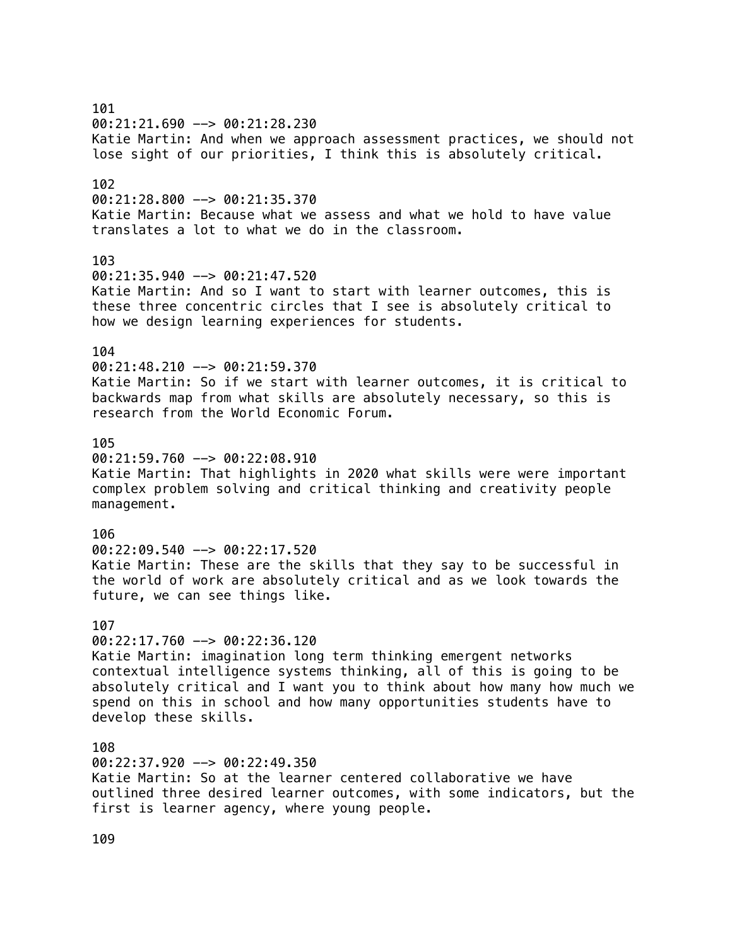## 101 00:21:21.690 --> 00:21:28.230 Katie Martin: And when we approach assessment practices, we should not lose sight of our priorities, I think this is absolutely critical. 102  $00:21:28.800$  -->  $00:21:35.370$ Katie Martin: Because what we assess and what we hold to have value translates a lot to what we do in the classroom. 103 00:21:35.940 --> 00:21:47.520 Katie Martin: And so I want to start with learner outcomes, this is these three concentric circles that I see is absolutely critical to how we design learning experiences for students. 104 00:21:48.210 --> 00:21:59.370 Katie Martin: So if we start with learner outcomes, it is critical to backwards map from what skills are absolutely necessary, so this is research from the World Economic Forum. 105  $0.21:59.760$  -->  $0.0122:08.910$ Katie Martin: That highlights in 2020 what skills were were important complex problem solving and critical thinking and creativity people management. 106 00:22:09.540 --> 00:22:17.520 Katie Martin: These are the skills that they say to be successful in the world of work are absolutely critical and as we look towards the future, we can see things like. 107  $00:22:17.760$  -->  $00:22:36.120$ Katie Martin: imagination long term thinking emergent networks contextual intelligence systems thinking, all of this is going to be absolutely critical and I want you to think about how many how much we spend on this in school and how many opportunities students have to develop these skills. 108 00:22:37.920 --> 00:22:49.350 Katie Martin: So at the learner centered collaborative we have outlined three desired learner outcomes, with some indicators, but the first is learner agency, where young people.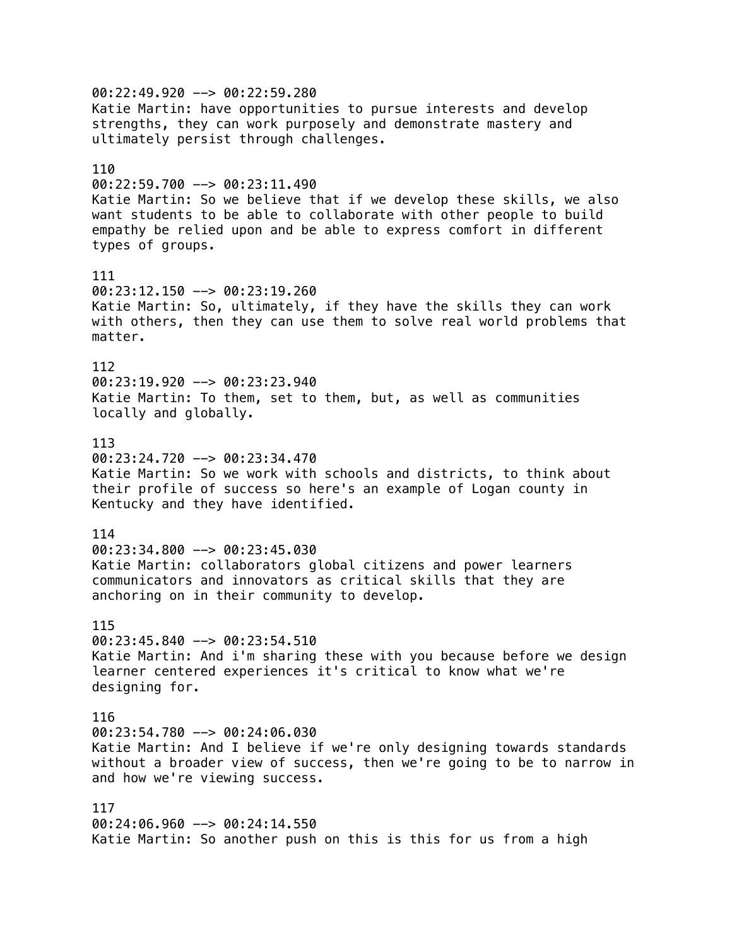00:22:49.920 --> 00:22:59.280 Katie Martin: have opportunities to pursue interests and develop strengths, they can work purposely and demonstrate mastery and ultimately persist through challenges. 110 00:22:59.700 --> 00:23:11.490 Katie Martin: So we believe that if we develop these skills, we also want students to be able to collaborate with other people to build empathy be relied upon and be able to express comfort in different types of groups. 111  $00:23:12.150$  -->  $00:23:19.260$ Katie Martin: So, ultimately, if they have the skills they can work with others, then they can use them to solve real world problems that matter. 112  $00:23:19.920$  -->  $00:23:23.940$ Katie Martin: To them, set to them, but, as well as communities locally and globally. 113 00:23:24.720 --> 00:23:34.470 Katie Martin: So we work with schools and districts, to think about their profile of success so here's an example of Logan county in Kentucky and they have identified. 114 00:23:34.800 --> 00:23:45.030 Katie Martin: collaborators global citizens and power learners communicators and innovators as critical skills that they are anchoring on in their community to develop. 115  $00:23:45.840$  -->  $00:23:54.510$ Katie Martin: And i'm sharing these with you because before we design learner centered experiences it's critical to know what we're designing for. 116  $00:23:54.780$  -->  $00:24:06.030$ Katie Martin: And I believe if we're only designing towards standards without a broader view of success, then we're going to be to narrow in and how we're viewing success. 117 00:24:06.960 --> 00:24:14.550 Katie Martin: So another push on this is this for us from a high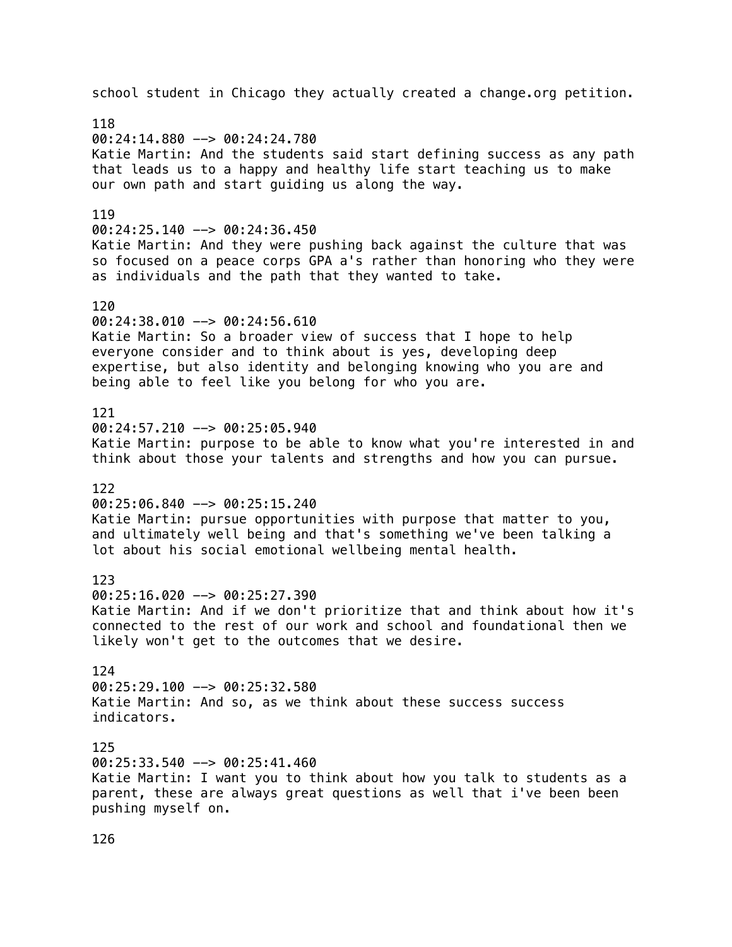school student in Chicago they actually created a change.org petition. 118 00:24:14.880 --> 00:24:24.780 Katie Martin: And the students said start defining success as any path that leads us to a happy and healthy life start teaching us to make our own path and start guiding us along the way. 119 00:24:25.140 --> 00:24:36.450 Katie Martin: And they were pushing back against the culture that was so focused on a peace corps GPA a's rather than honoring who they were as individuals and the path that they wanted to take. 120 00:24:38.010 --> 00:24:56.610 Katie Martin: So a broader view of success that I hope to help everyone consider and to think about is yes, developing deep expertise, but also identity and belonging knowing who you are and being able to feel like you belong for who you are. 121  $00:24:57.210$  -->  $00:25:05.940$ Katie Martin: purpose to be able to know what you're interested in and think about those your talents and strengths and how you can pursue. 122  $00:25:06.840$  -->  $00:25:15.240$ Katie Martin: pursue opportunities with purpose that matter to you, and ultimately well being and that's something we've been talking a lot about his social emotional wellbeing mental health. 123 00:25:16.020 --> 00:25:27.390 Katie Martin: And if we don't prioritize that and think about how it's connected to the rest of our work and school and foundational then we likely won't get to the outcomes that we desire. 124 00:25:29.100 --> 00:25:32.580 Katie Martin: And so, as we think about these success success indicators. 125 00:25:33.540 --> 00:25:41.460 Katie Martin: I want you to think about how you talk to students as a parent, these are always great questions as well that i've been been pushing myself on.

126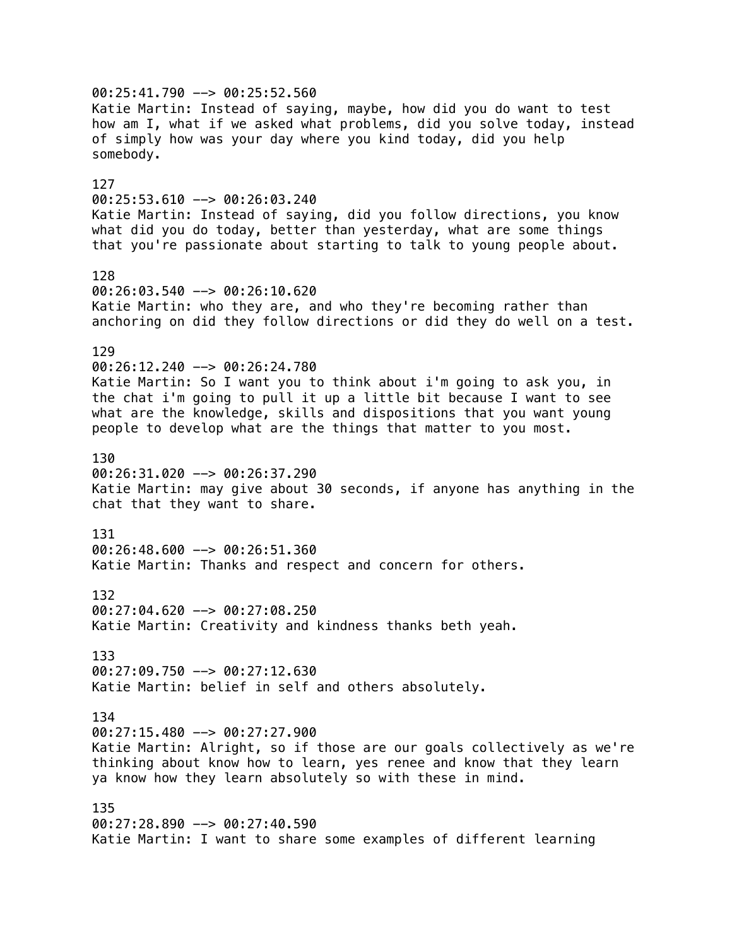00:25:41.790 --> 00:25:52.560 Katie Martin: Instead of saying, maybe, how did you do want to test how am I, what if we asked what problems, did you solve today, instead of simply how was your day where you kind today, did you help somebody. 127 00:25:53.610 --> 00:26:03.240 Katie Martin: Instead of saying, did you follow directions, you know what did you do today, better than yesterday, what are some things that you're passionate about starting to talk to young people about. 128 00:26:03.540 --> 00:26:10.620 Katie Martin: who they are, and who they're becoming rather than anchoring on did they follow directions or did they do well on a test. 129 00:26:12.240 --> 00:26:24.780 Katie Martin: So I want you to think about i'm going to ask you, in the chat i'm going to pull it up a little bit because I want to see what are the knowledge, skills and dispositions that you want young people to develop what are the things that matter to you most. 130 00:26:31.020 --> 00:26:37.290 Katie Martin: may give about 30 seconds, if anyone has anything in the chat that they want to share. 131 00:26:48.600 --> 00:26:51.360 Katie Martin: Thanks and respect and concern for others. 132 00:27:04.620 --> 00:27:08.250 Katie Martin: Creativity and kindness thanks beth yeah. 133 00:27:09.750 --> 00:27:12.630 Katie Martin: belief in self and others absolutely. 134  $00:27:15.480$  -->  $00:27:27.900$ Katie Martin: Alright, so if those are our goals collectively as we're thinking about know how to learn, yes renee and know that they learn ya know how they learn absolutely so with these in mind. 135 00:27:28.890 --> 00:27:40.590 Katie Martin: I want to share some examples of different learning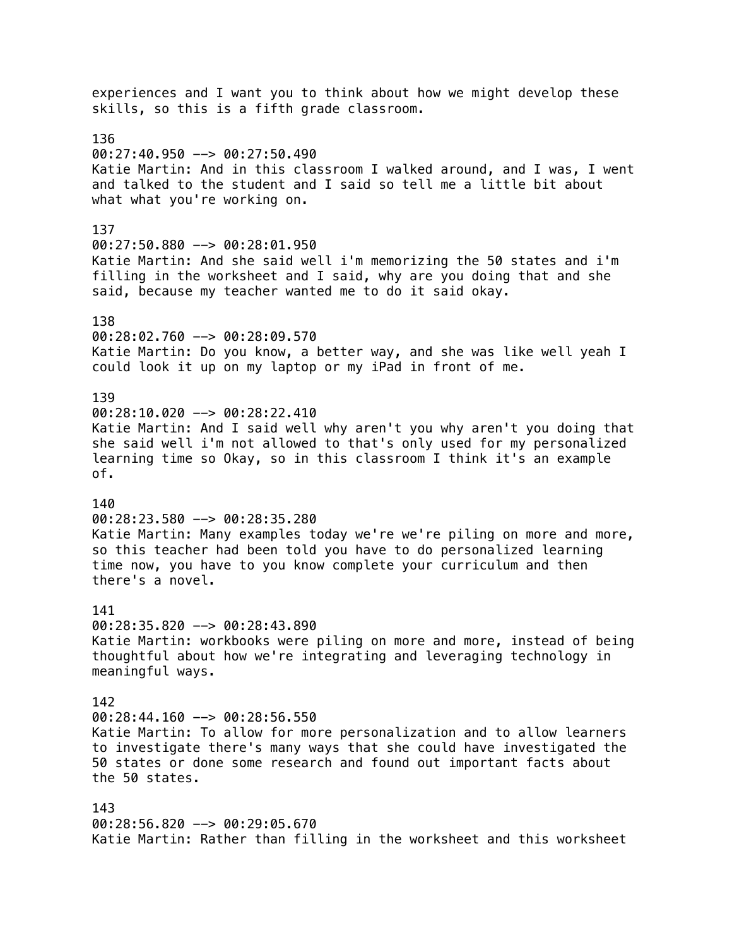experiences and I want you to think about how we might develop these skills, so this is a fifth grade classroom. 136 00:27:40.950 --> 00:27:50.490 Katie Martin: And in this classroom I walked around, and I was, I went and talked to the student and I said so tell me a little bit about what what you're working on. 137 00:27:50.880 --> 00:28:01.950 Katie Martin: And she said well i'm memorizing the 50 states and i'm filling in the worksheet and I said, why are you doing that and she said, because my teacher wanted me to do it said okay. 138 00:28:02.760 --> 00:28:09.570 Katie Martin: Do you know, a better way, and she was like well yeah I could look it up on my laptop or my iPad in front of me. 139 00:28:10.020 --> 00:28:22.410 Katie Martin: And I said well why aren't you why aren't you doing that she said well i'm not allowed to that's only used for my personalized learning time so Okay, so in this classroom I think it's an example of. 140 00:28:23.580 --> 00:28:35.280 Katie Martin: Many examples today we're we're piling on more and more, so this teacher had been told you have to do personalized learning time now, you have to you know complete your curriculum and then there's a novel. 141 00:28:35.820 --> 00:28:43.890 Katie Martin: workbooks were piling on more and more, instead of being thoughtful about how we're integrating and leveraging technology in meaningful ways. 142 00:28:44.160 --> 00:28:56.550 Katie Martin: To allow for more personalization and to allow learners to investigate there's many ways that she could have investigated the 50 states or done some research and found out important facts about the 50 states. 143 00:28:56.820 --> 00:29:05.670 Katie Martin: Rather than filling in the worksheet and this worksheet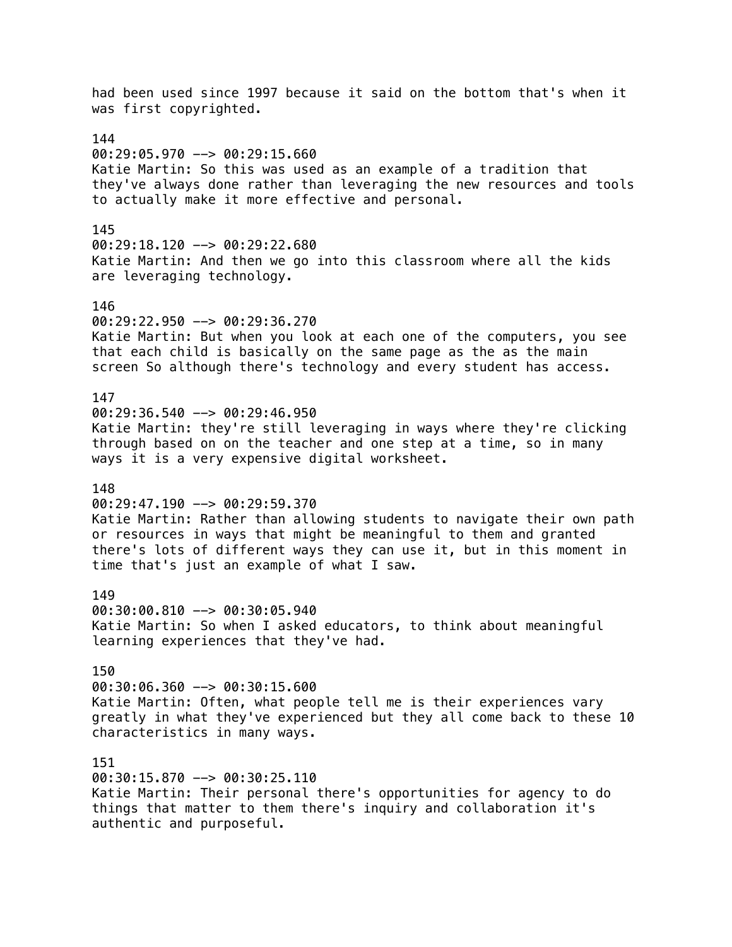had been used since 1997 because it said on the bottom that's when it was first copyrighted. 144  $00:29:05.970$  -->  $00:29:15.660$ Katie Martin: So this was used as an example of a tradition that they've always done rather than leveraging the new resources and tools to actually make it more effective and personal. 145  $00:29:18.120$  -->  $00:29:22.680$ Katie Martin: And then we go into this classroom where all the kids are leveraging technology. 146 00:29:22.950 --> 00:29:36.270 Katie Martin: But when you look at each one of the computers, you see that each child is basically on the same page as the as the main screen So although there's technology and every student has access. 147  $00:29:36.540$  -->  $00:29:46.950$ Katie Martin: they're still leveraging in ways where they're clicking through based on on the teacher and one step at a time, so in many ways it is a very expensive digital worksheet. 148  $00:29:47.190$  -->  $00:29:59.370$ Katie Martin: Rather than allowing students to navigate their own path or resources in ways that might be meaningful to them and granted there's lots of different ways they can use it, but in this moment in time that's just an example of what I saw. 149 00:30:00.810 --> 00:30:05.940 Katie Martin: So when I asked educators, to think about meaningful learning experiences that they've had. 150 00:30:06.360 --> 00:30:15.600 Katie Martin: Often, what people tell me is their experiences vary greatly in what they've experienced but they all come back to these 10 characteristics in many ways. 151 00:30:15.870 --> 00:30:25.110 Katie Martin: Their personal there's opportunities for agency to do things that matter to them there's inquiry and collaboration it's authentic and purposeful.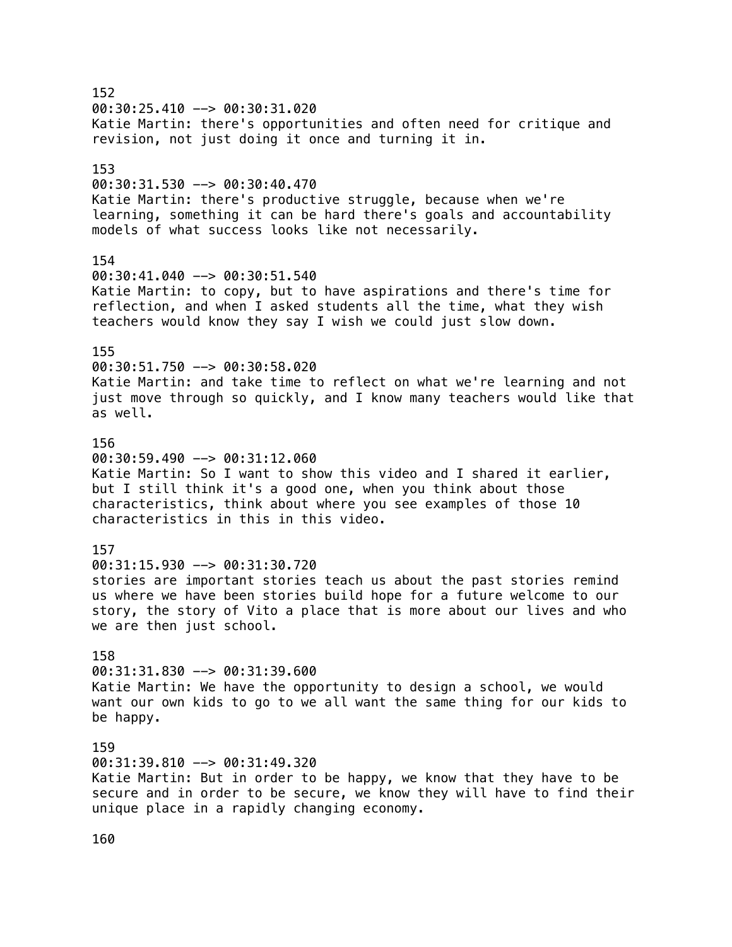152 00:30:25.410 --> 00:30:31.020 Katie Martin: there's opportunities and often need for critique and revision, not just doing it once and turning it in. 153 00:30:31.530 --> 00:30:40.470 Katie Martin: there's productive struggle, because when we're learning, something it can be hard there's goals and accountability models of what success looks like not necessarily. 154 00:30:41.040 --> 00:30:51.540 Katie Martin: to copy, but to have aspirations and there's time for reflection, and when I asked students all the time, what they wish teachers would know they say I wish we could just slow down. 155 00:30:51.750 --> 00:30:58.020 Katie Martin: and take time to reflect on what we're learning and not just move through so quickly, and I know many teachers would like that as well. 156  $00:30:59.490$  -->  $00:31:12.060$ Katie Martin: So I want to show this video and I shared it earlier, but I still think it's a good one, when you think about those characteristics, think about where you see examples of those 10 characteristics in this in this video. 157 00:31:15.930 --> 00:31:30.720 stories are important stories teach us about the past stories remind us where we have been stories build hope for a future welcome to our story, the story of Vito a place that is more about our lives and who we are then just school. 158 00:31:31.830 --> 00:31:39.600 Katie Martin: We have the opportunity to design a school, we would want our own kids to go to we all want the same thing for our kids to be happy. 159 00:31:39.810 --> 00:31:49.320 Katie Martin: But in order to be happy, we know that they have to be secure and in order to be secure, we know they will have to find their unique place in a rapidly changing economy.

160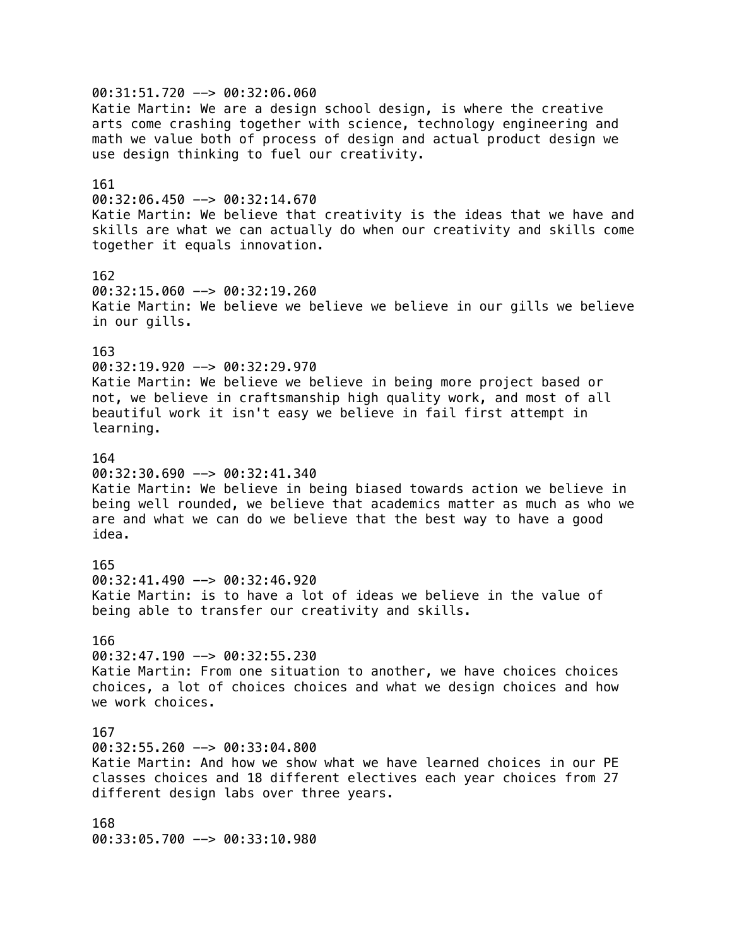00:31:51.720 --> 00:32:06.060 Katie Martin: We are a design school design, is where the creative arts come crashing together with science, technology engineering and math we value both of process of design and actual product design we use design thinking to fuel our creativity. 161 00:32:06.450 --> 00:32:14.670 Katie Martin: We believe that creativity is the ideas that we have and skills are what we can actually do when our creativity and skills come together it equals innovation. 162 00:32:15.060 --> 00:32:19.260 Katie Martin: We believe we believe we believe in our gills we believe in our gills. 163 00:32:19.920 --> 00:32:29.970 Katie Martin: We believe we believe in being more project based or not, we believe in craftsmanship high quality work, and most of all beautiful work it isn't easy we believe in fail first attempt in learning. 164 00:32:30.690 --> 00:32:41.340 Katie Martin: We believe in being biased towards action we believe in being well rounded, we believe that academics matter as much as who we are and what we can do we believe that the best way to have a good idea. 165 00:32:41.490 --> 00:32:46.920 Katie Martin: is to have a lot of ideas we believe in the value of being able to transfer our creativity and skills. 166 00:32:47.190 --> 00:32:55.230 Katie Martin: From one situation to another, we have choices choices choices, a lot of choices choices and what we design choices and how we work choices. 167 00:32:55.260 --> 00:33:04.800 Katie Martin: And how we show what we have learned choices in our PE classes choices and 18 different electives each year choices from 27 different design labs over three years. 168 00:33:05.700 --> 00:33:10.980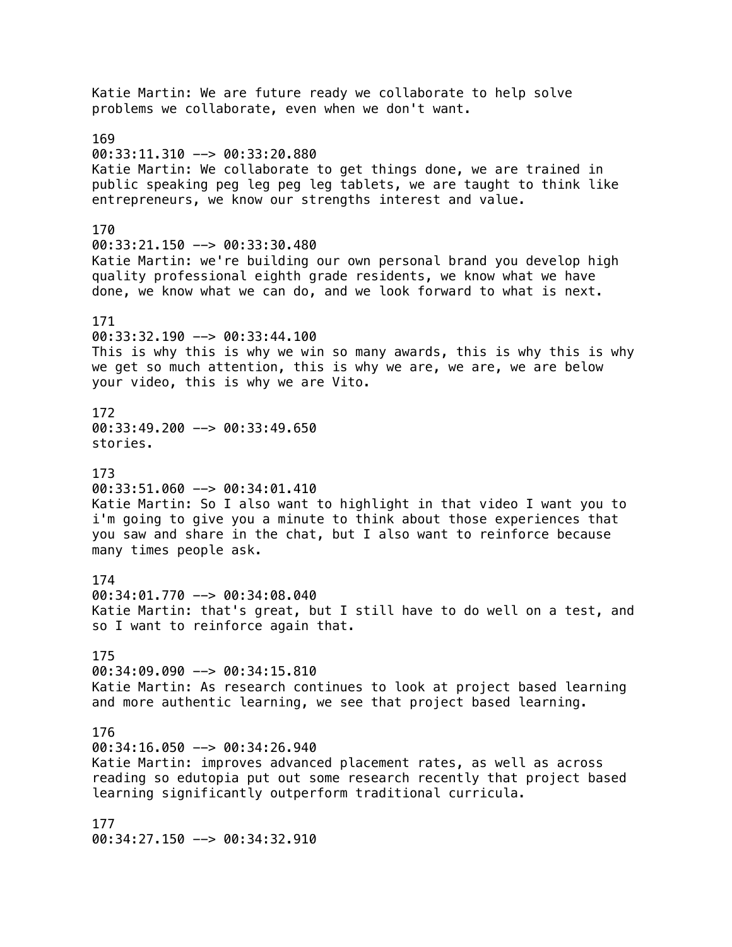Katie Martin: We are future ready we collaborate to help solve problems we collaborate, even when we don't want. 169 00:33:11.310 --> 00:33:20.880 Katie Martin: We collaborate to get things done, we are trained in public speaking peg leg peg leg tablets, we are taught to think like entrepreneurs, we know our strengths interest and value. 170 00:33:21.150 --> 00:33:30.480 Katie Martin: we're building our own personal brand you develop high quality professional eighth grade residents, we know what we have done, we know what we can do, and we look forward to what is next. 171 00:33:32.190 --> 00:33:44.100 This is why this is why we win so many awards, this is why this is why we get so much attention, this is why we are, we are, we are below your video, this is why we are Vito. 172 00:33:49.200 --> 00:33:49.650 stories. 173  $00:33:51.060$  -->  $00:34:01.410$ Katie Martin: So I also want to highlight in that video I want you to i'm going to give you a minute to think about those experiences that you saw and share in the chat, but I also want to reinforce because many times people ask. 174 00:34:01.770 --> 00:34:08.040 Katie Martin: that's great, but I still have to do well on a test, and so I want to reinforce again that. 175 00:34:09.090 --> 00:34:15.810 Katie Martin: As research continues to look at project based learning and more authentic learning, we see that project based learning. 176 00:34:16.050 --> 00:34:26.940 Katie Martin: improves advanced placement rates, as well as across reading so edutopia put out some research recently that project based learning significantly outperform traditional curricula. 177 00:34:27.150 --> 00:34:32.910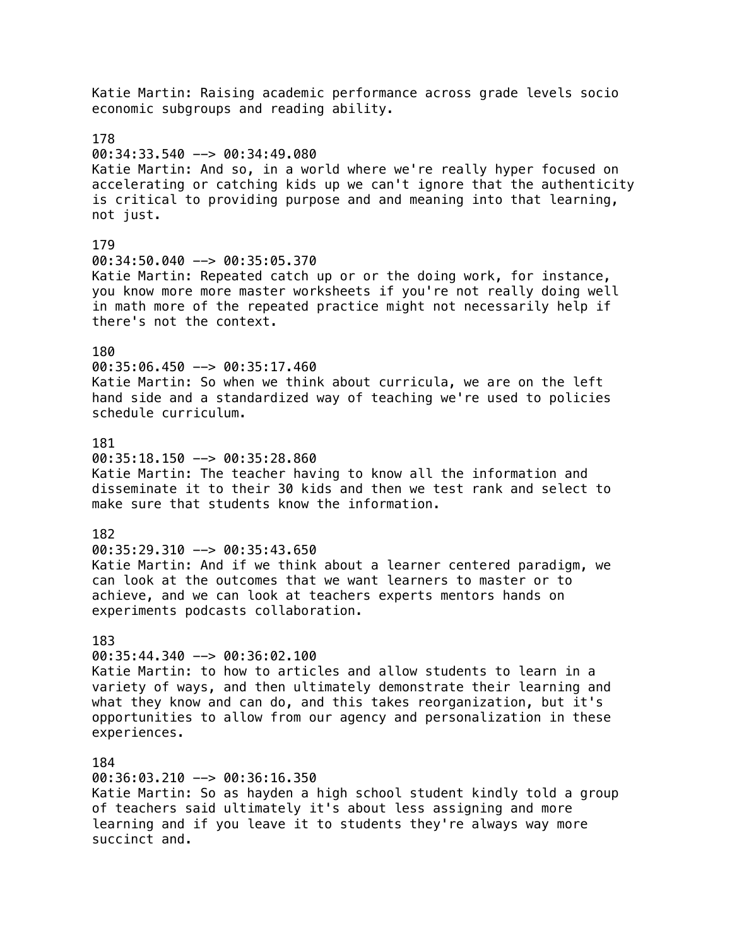Katie Martin: Raising academic performance across grade levels socio economic subgroups and reading ability. 178 00:34:33.540 --> 00:34:49.080 Katie Martin: And so, in a world where we're really hyper focused on accelerating or catching kids up we can't ignore that the authenticity is critical to providing purpose and and meaning into that learning, not just. 179 00:34:50.040 --> 00:35:05.370 Katie Martin: Repeated catch up or or the doing work, for instance, you know more more master worksheets if you're not really doing well in math more of the repeated practice might not necessarily help if there's not the context. 180 00:35:06.450 --> 00:35:17.460 Katie Martin: So when we think about curricula, we are on the left hand side and a standardized way of teaching we're used to policies schedule curriculum. 181  $00:35:18.150$  -->  $00:35:28.860$ Katie Martin: The teacher having to know all the information and disseminate it to their 30 kids and then we test rank and select to make sure that students know the information. 182  $00:35:29.310$  -->  $00:35:43.650$ Katie Martin: And if we think about a learner centered paradigm, we can look at the outcomes that we want learners to master or to achieve, and we can look at teachers experts mentors hands on experiments podcasts collaboration. 183 00:35:44.340 --> 00:36:02.100 Katie Martin: to how to articles and allow students to learn in a variety of ways, and then ultimately demonstrate their learning and what they know and can do, and this takes reorganization, but it's opportunities to allow from our agency and personalization in these experiences. 184 00:36:03.210 --> 00:36:16.350 Katie Martin: So as hayden a high school student kindly told a group of teachers said ultimately it's about less assigning and more learning and if you leave it to students they're always way more

succinct and.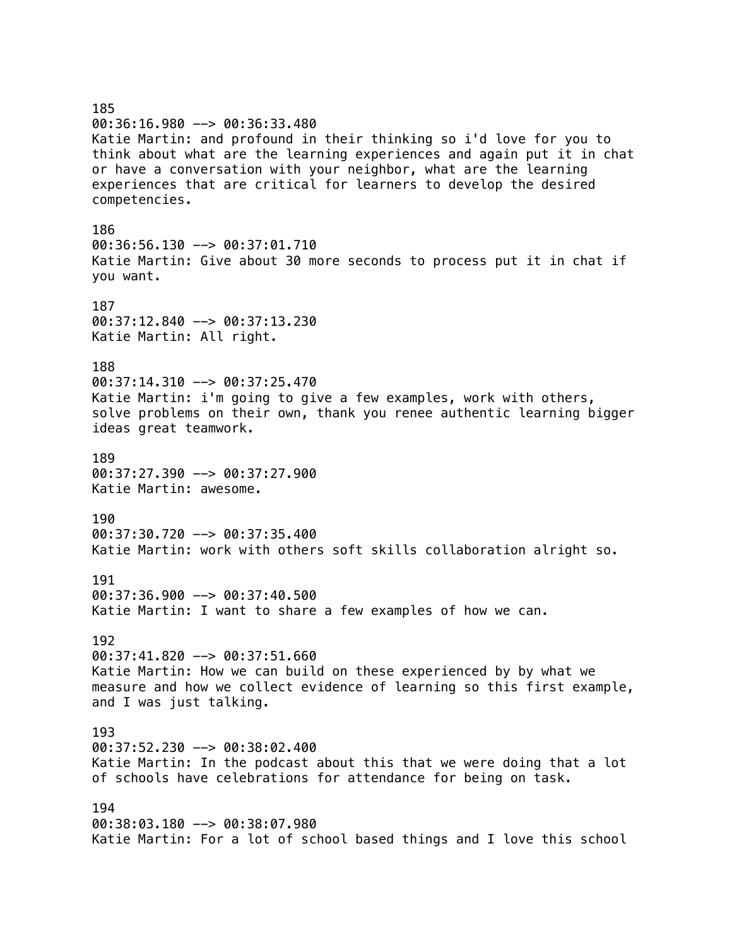185 00:36:16.980 --> 00:36:33.480 Katie Martin: and profound in their thinking so i'd love for you to think about what are the learning experiences and again put it in chat or have a conversation with your neighbor, what are the learning experiences that are critical for learners to develop the desired competencies. 186 00:36:56.130 --> 00:37:01.710 Katie Martin: Give about 30 more seconds to process put it in chat if you want. 187 00:37:12.840 --> 00:37:13.230 Katie Martin: All right. 188 00:37:14.310 --> 00:37:25.470 Katie Martin: i'm going to give a few examples, work with others, solve problems on their own, thank you renee authentic learning bigger ideas great teamwork. 189 00:37:27.390 --> 00:37:27.900 Katie Martin: awesome. 190 00:37:30.720 --> 00:37:35.400 Katie Martin: work with others soft skills collaboration alright so. 191 00:37:36.900 --> 00:37:40.500 Katie Martin: I want to share a few examples of how we can. 192 00:37:41.820 --> 00:37:51.660 Katie Martin: How we can build on these experienced by by what we measure and how we collect evidence of learning so this first example, and I was just talking. 193 00:37:52.230 --> 00:38:02.400 Katie Martin: In the podcast about this that we were doing that a lot of schools have celebrations for attendance for being on task. 194 00:38:03.180 --> 00:38:07.980 Katie Martin: For a lot of school based things and I love this school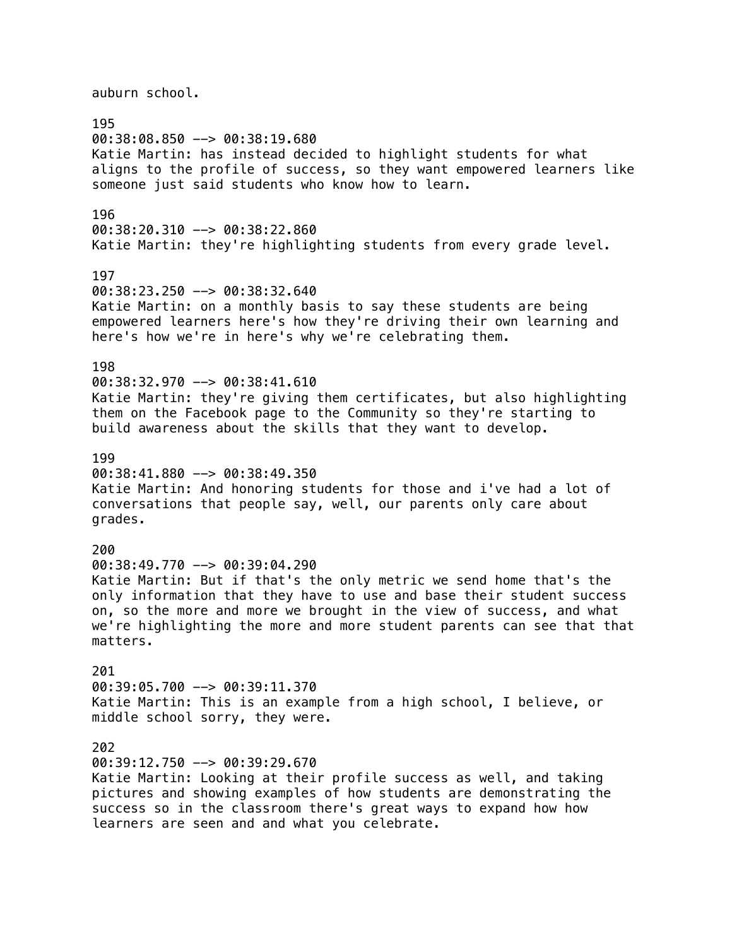auburn school. 195 00:38:08.850 --> 00:38:19.680 Katie Martin: has instead decided to highlight students for what aligns to the profile of success, so they want empowered learners like someone just said students who know how to learn. 196 00:38:20.310 --> 00:38:22.860 Katie Martin: they're highlighting students from every grade level. 197 00:38:23.250 --> 00:38:32.640 Katie Martin: on a monthly basis to say these students are being empowered learners here's how they're driving their own learning and here's how we're in here's why we're celebrating them. 198 00:38:32.970 --> 00:38:41.610 Katie Martin: they're giving them certificates, but also highlighting them on the Facebook page to the Community so they're starting to build awareness about the skills that they want to develop. 199 00:38:41.880 --> 00:38:49.350 Katie Martin: And honoring students for those and i've had a lot of conversations that people say, well, our parents only care about grades. 200 00:38:49.770 --> 00:39:04.290 Katie Martin: But if that's the only metric we send home that's the only information that they have to use and base their student success on, so the more and more we brought in the view of success, and what we're highlighting the more and more student parents can see that that matters. 201 00:39:05.700 --> 00:39:11.370 Katie Martin: This is an example from a high school, I believe, or middle school sorry, they were. 202 00:39:12.750 --> 00:39:29.670 Katie Martin: Looking at their profile success as well, and taking pictures and showing examples of how students are demonstrating the success so in the classroom there's great ways to expand how how learners are seen and and what you celebrate.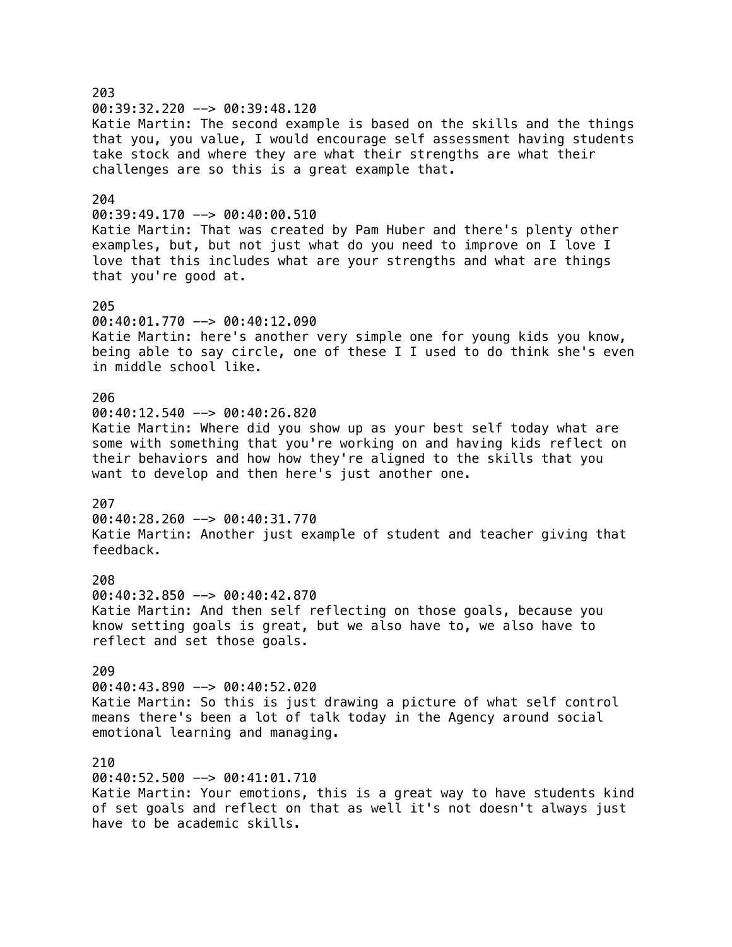203 00:39:32.220 --> 00:39:48.120 Katie Martin: The second example is based on the skills and the things that you, you value, I would encourage self assessment having students take stock and where they are what their strengths are what their challenges are so this is a great example that. 204 00:39:49.170 --> 00:40:00.510 Katie Martin: That was created by Pam Huber and there's plenty other examples, but, but not just what do you need to improve on I love I love that this includes what are your strengths and what are things that you're good at. 205 00:40:01.770 --> 00:40:12.090 Katie Martin: here's another very simple one for young kids you know, being able to say circle, one of these I I used to do think she's even in middle school like. 206 00:40:12.540 --> 00:40:26.820 Katie Martin: Where did you show up as your best self today what are some with something that you're working on and having kids reflect on their behaviors and how how they're aligned to the skills that you want to develop and then here's just another one. 207 00:40:28.260 --> 00:40:31.770 Katie Martin: Another just example of student and teacher giving that feedback. 208 00:40:32.850 --> 00:40:42.870 Katie Martin: And then self reflecting on those goals, because you know setting goals is great, but we also have to, we also have to reflect and set those goals. 209 00:40:43.890 --> 00:40:52.020 Katie Martin: So this is just drawing a picture of what self control means there's been a lot of talk today in the Agency around social emotional learning and managing. 210 00:40:52.500 --> 00:41:01.710 Katie Martin: Your emotions, this is a great way to have students kind of set goals and reflect on that as well it's not doesn't always just have to be academic skills.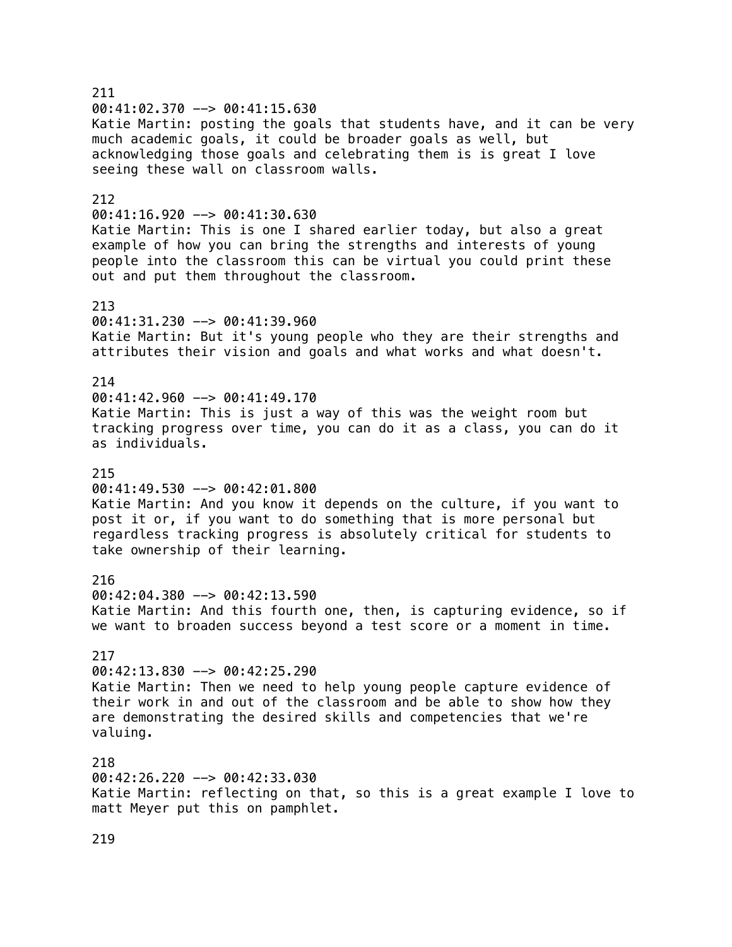211 00:41:02.370 --> 00:41:15.630 Katie Martin: posting the goals that students have, and it can be very much academic goals, it could be broader goals as well, but acknowledging those goals and celebrating them is is great I love seeing these wall on classroom walls. 212 00:41:16.920 --> 00:41:30.630 Katie Martin: This is one I shared earlier today, but also a great example of how you can bring the strengths and interests of young people into the classroom this can be virtual you could print these out and put them throughout the classroom. 213 00:41:31.230 --> 00:41:39.960 Katie Martin: But it's young people who they are their strengths and attributes their vision and goals and what works and what doesn't. 214 00:41:42.960 --> 00:41:49.170 Katie Martin: This is just a way of this was the weight room but tracking progress over time, you can do it as a class, you can do it as individuals. 215 00:41:49.530 --> 00:42:01.800 Katie Martin: And you know it depends on the culture, if you want to post it or, if you want to do something that is more personal but regardless tracking progress is absolutely critical for students to take ownership of their learning. 216 00:42:04.380 --> 00:42:13.590 Katie Martin: And this fourth one, then, is capturing evidence, so if we want to broaden success beyond a test score or a moment in time. 217 00:42:13.830 --> 00:42:25.290 Katie Martin: Then we need to help young people capture evidence of their work in and out of the classroom and be able to show how they are demonstrating the desired skills and competencies that we're valuing. 218 00:42:26.220 --> 00:42:33.030 Katie Martin: reflecting on that, so this is a great example I love to matt Meyer put this on pamphlet.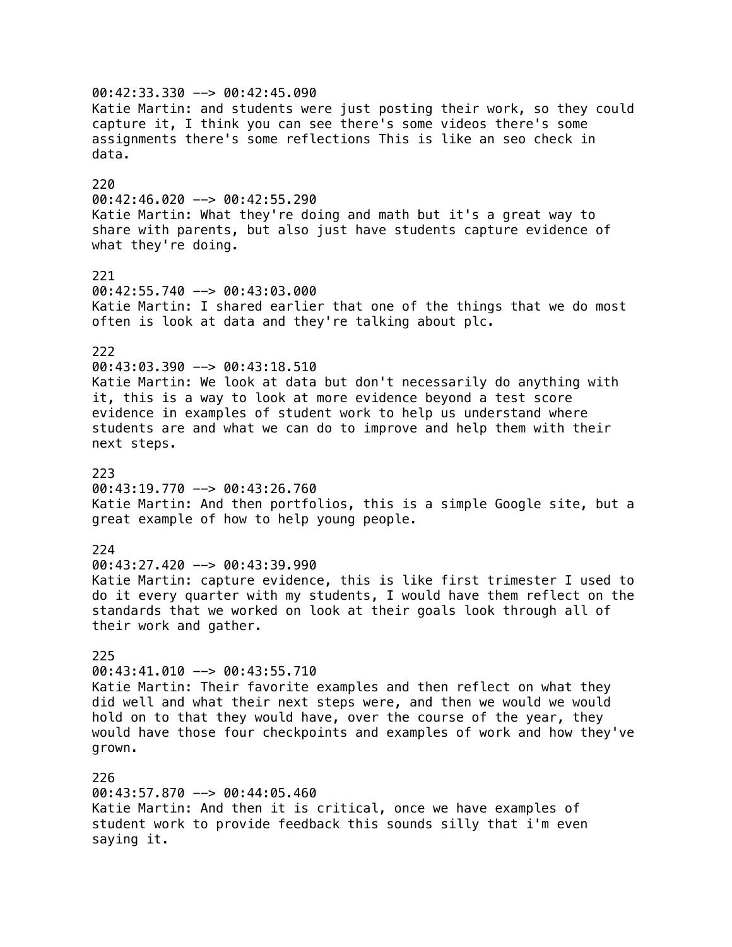00:42:33.330 --> 00:42:45.090 Katie Martin: and students were just posting their work, so they could capture it, I think you can see there's some videos there's some assignments there's some reflections This is like an seo check in data. 220 00:42:46.020 --> 00:42:55.290 Katie Martin: What they're doing and math but it's a great way to share with parents, but also just have students capture evidence of what they're doing. 221 00:42:55.740 --> 00:43:03.000 Katie Martin: I shared earlier that one of the things that we do most often is look at data and they're talking about plc. 222 00:43:03.390 --> 00:43:18.510 Katie Martin: We look at data but don't necessarily do anything with it, this is a way to look at more evidence beyond a test score evidence in examples of student work to help us understand where students are and what we can do to improve and help them with their next steps. 223 00:43:19.770 --> 00:43:26.760 Katie Martin: And then portfolios, this is a simple Google site, but a great example of how to help young people. 224 00:43:27.420 --> 00:43:39.990 Katie Martin: capture evidence, this is like first trimester I used to do it every quarter with my students, I would have them reflect on the standards that we worked on look at their goals look through all of their work and gather. 225 00:43:41.010 --> 00:43:55.710 Katie Martin: Their favorite examples and then reflect on what they did well and what their next steps were, and then we would we would hold on to that they would have, over the course of the year, they would have those four checkpoints and examples of work and how they've grown. 226 00:43:57.870 --> 00:44:05.460 Katie Martin: And then it is critical, once we have examples of student work to provide feedback this sounds silly that i'm even

saying it.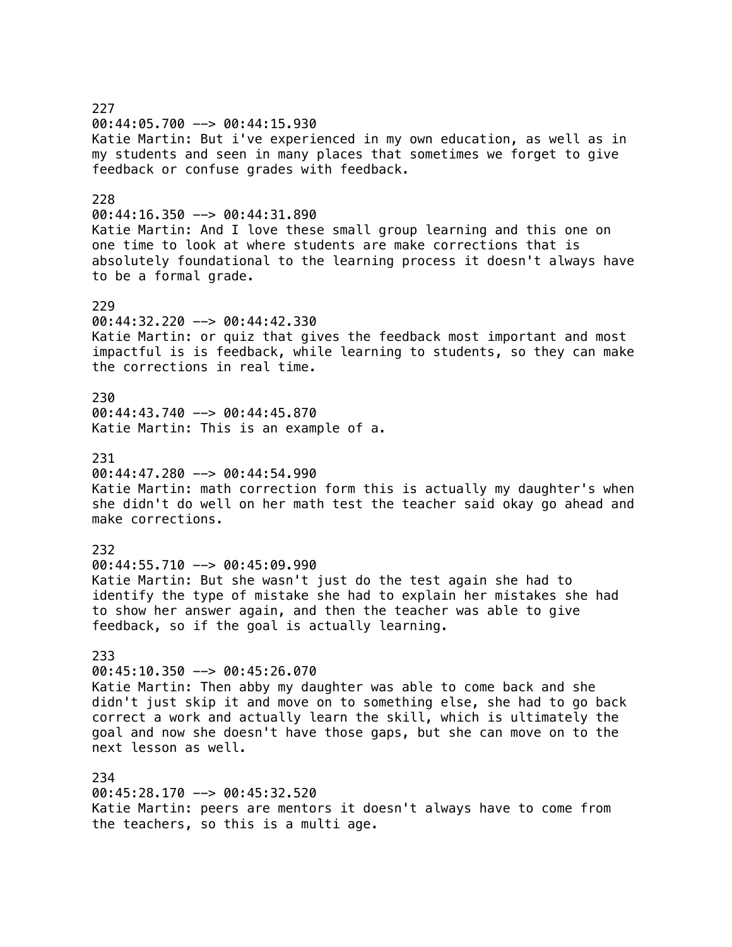227 00:44:05.700 --> 00:44:15.930 Katie Martin: But i've experienced in my own education, as well as in my students and seen in many places that sometimes we forget to give feedback or confuse grades with feedback. 228 00:44:16.350 --> 00:44:31.890 Katie Martin: And I love these small group learning and this one on one time to look at where students are make corrections that is absolutely foundational to the learning process it doesn't always have to be a formal grade. 229 00:44:32.220 --> 00:44:42.330 Katie Martin: or quiz that gives the feedback most important and most impactful is is feedback, while learning to students, so they can make the corrections in real time. 230 00:44:43.740 --> 00:44:45.870 Katie Martin: This is an example of a. 231 00:44:47.280 --> 00:44:54.990 Katie Martin: math correction form this is actually my daughter's when she didn't do well on her math test the teacher said okay go ahead and make corrections. 232 00:44:55.710 --> 00:45:09.990 Katie Martin: But she wasn't just do the test again she had to identify the type of mistake she had to explain her mistakes she had to show her answer again, and then the teacher was able to give feedback, so if the goal is actually learning. 233 00:45:10.350 --> 00:45:26.070 Katie Martin: Then abby my daughter was able to come back and she didn't just skip it and move on to something else, she had to go back correct a work and actually learn the skill, which is ultimately the goal and now she doesn't have those gaps, but she can move on to the next lesson as well. 234 00:45:28.170 --> 00:45:32.520 Katie Martin: peers are mentors it doesn't always have to come from the teachers, so this is a multi age.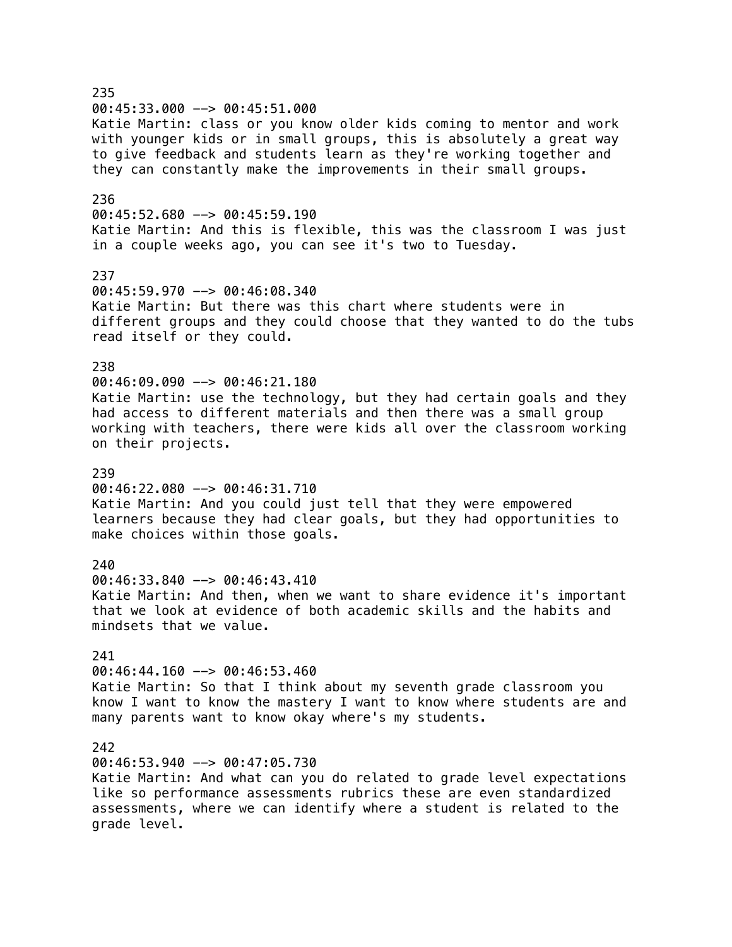235  $00:45:33.000$  -->  $00:45:51.000$ Katie Martin: class or you know older kids coming to mentor and work with younger kids or in small groups, this is absolutely a great way to give feedback and students learn as they're working together and they can constantly make the improvements in their small groups. 236 00:45:52.680 --> 00:45:59.190 Katie Martin: And this is flexible, this was the classroom I was just in a couple weeks ago, you can see it's two to Tuesday. 237 00:45:59.970 --> 00:46:08.340 Katie Martin: But there was this chart where students were in different groups and they could choose that they wanted to do the tubs read itself or they could. 238 00:46:09.090 --> 00:46:21.180 Katie Martin: use the technology, but they had certain goals and they had access to different materials and then there was a small group working with teachers, there were kids all over the classroom working on their projects. 239 00:46:22.080 --> 00:46:31.710 Katie Martin: And you could just tell that they were empowered learners because they had clear goals, but they had opportunities to make choices within those goals. 240 00:46:33.840 --> 00:46:43.410 Katie Martin: And then, when we want to share evidence it's important that we look at evidence of both academic skills and the habits and mindsets that we value. 241 00:46:44.160 --> 00:46:53.460 Katie Martin: So that I think about my seventh grade classroom you know I want to know the mastery I want to know where students are and many parents want to know okay where's my students. 242 00:46:53.940 --> 00:47:05.730 Katie Martin: And what can you do related to grade level expectations like so performance assessments rubrics these are even standardized assessments, where we can identify where a student is related to the grade level.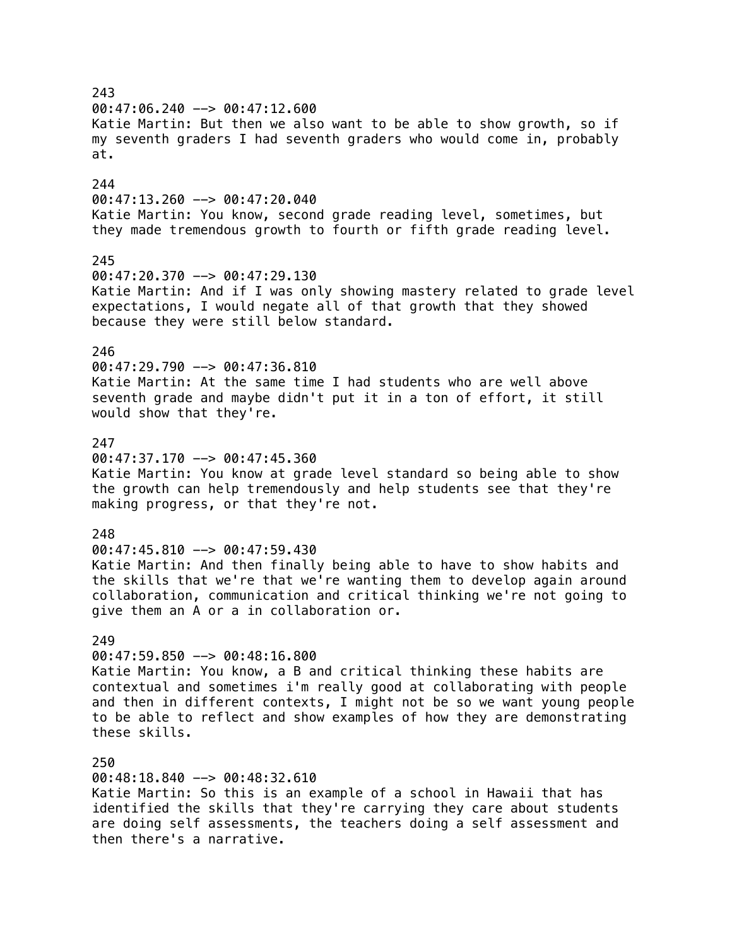243 00:47:06.240 --> 00:47:12.600 Katie Martin: But then we also want to be able to show growth, so if my seventh graders I had seventh graders who would come in, probably at. 244 00:47:13.260 --> 00:47:20.040 Katie Martin: You know, second grade reading level, sometimes, but they made tremendous growth to fourth or fifth grade reading level. 245 00:47:20.370 --> 00:47:29.130 Katie Martin: And if I was only showing mastery related to grade level expectations, I would negate all of that growth that they showed because they were still below standard. 246 00:47:29.790 --> 00:47:36.810 Katie Martin: At the same time I had students who are well above seventh grade and maybe didn't put it in a ton of effort, it still would show that they're. 247  $00:47:37.170$  -->  $00:47:45.360$ Katie Martin: You know at grade level standard so being able to show the growth can help tremendously and help students see that they're making progress, or that they're not. 248 00:47:45.810 --> 00:47:59.430 Katie Martin: And then finally being able to have to show habits and the skills that we're that we're wanting them to develop again around collaboration, communication and critical thinking we're not going to give them an A or a in collaboration or. 249 00:47:59.850 --> 00:48:16.800 Katie Martin: You know, a B and critical thinking these habits are contextual and sometimes i'm really good at collaborating with people and then in different contexts, I might not be so we want young people to be able to reflect and show examples of how they are demonstrating these skills. 250 00:48:18.840 --> 00:48:32.610 Katie Martin: So this is an example of a school in Hawaii that has identified the skills that they're carrying they care about students are doing self assessments, the teachers doing a self assessment and

then there's a narrative.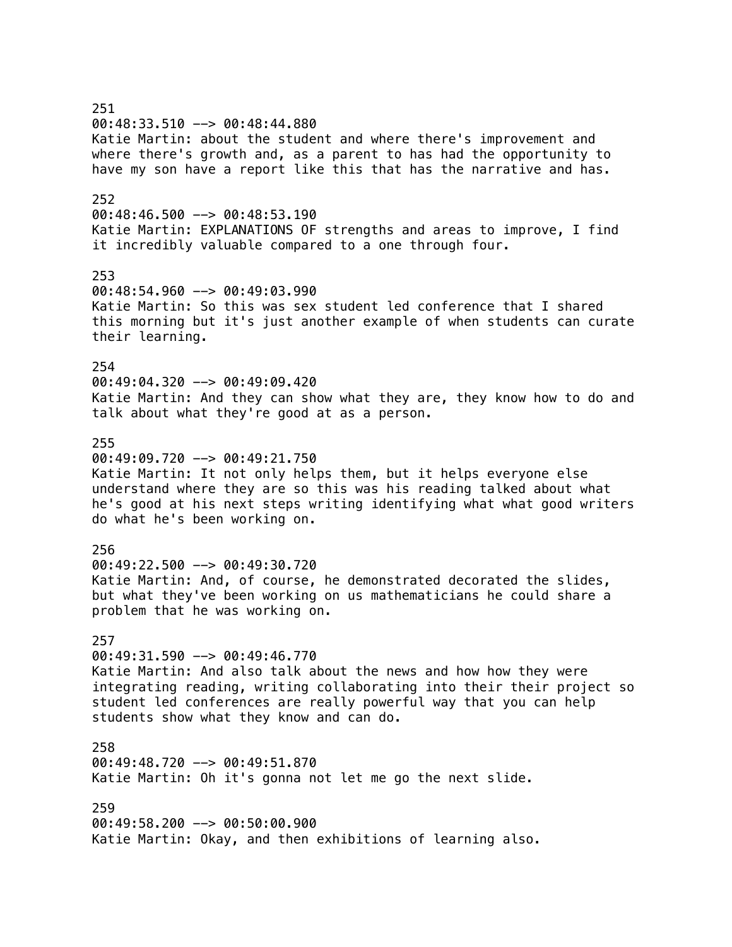251 00:48:33.510 --> 00:48:44.880 Katie Martin: about the student and where there's improvement and where there's growth and, as a parent to has had the opportunity to have my son have a report like this that has the narrative and has. 252 00:48:46.500 --> 00:48:53.190 Katie Martin: EXPLANATIONS OF strengths and areas to improve, I find it incredibly valuable compared to a one through four. 253 00:48:54.960 --> 00:49:03.990 Katie Martin: So this was sex student led conference that I shared this morning but it's just another example of when students can curate their learning. 254 00:49:04.320 --> 00:49:09.420 Katie Martin: And they can show what they are, they know how to do and talk about what they're good at as a person. 255  $00:49:09.720$  -->  $00:49:21.750$ Katie Martin: It not only helps them, but it helps everyone else understand where they are so this was his reading talked about what he's good at his next steps writing identifying what what good writers do what he's been working on. 256 00:49:22.500 --> 00:49:30.720 Katie Martin: And, of course, he demonstrated decorated the slides, but what they've been working on us mathematicians he could share a problem that he was working on. 257 00:49:31.590 --> 00:49:46.770 Katie Martin: And also talk about the news and how how they were integrating reading, writing collaborating into their their project so student led conferences are really powerful way that you can help students show what they know and can do. 258 00:49:48.720 --> 00:49:51.870 Katie Martin: Oh it's gonna not let me go the next slide. 259 00:49:58.200 --> 00:50:00.900 Katie Martin: Okay, and then exhibitions of learning also.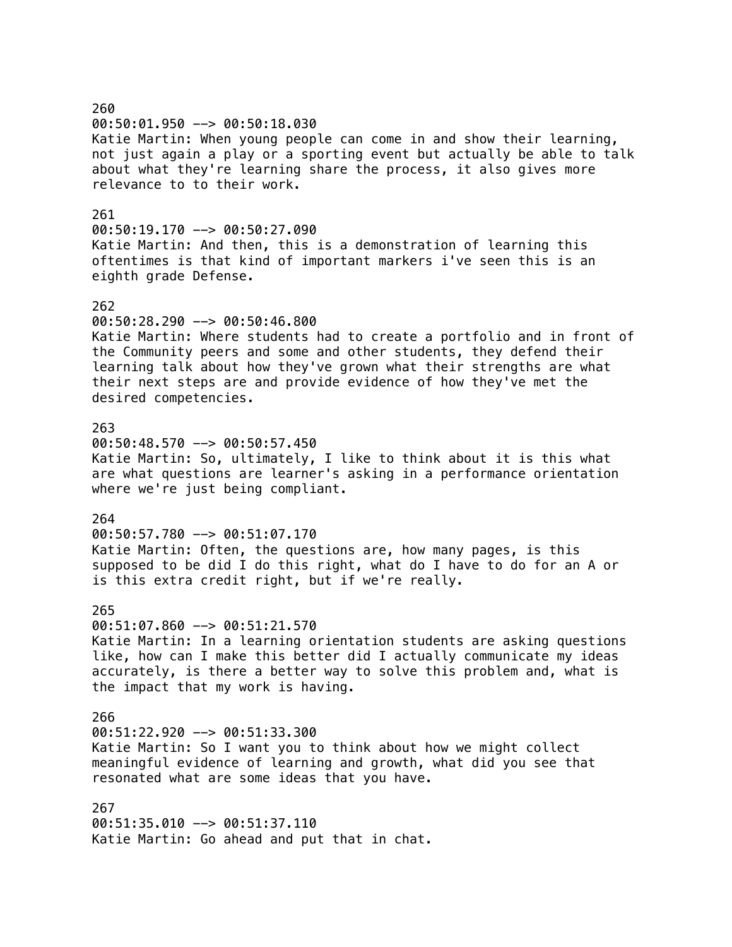260 00:50:01.950 --> 00:50:18.030 Katie Martin: When young people can come in and show their learning, not just again a play or a sporting event but actually be able to talk about what they're learning share the process, it also gives more relevance to to their work. 261 00:50:19.170 --> 00:50:27.090 Katie Martin: And then, this is a demonstration of learning this oftentimes is that kind of important markers i've seen this is an eighth grade Defense. 262 00:50:28.290 --> 00:50:46.800 Katie Martin: Where students had to create a portfolio and in front of the Community peers and some and other students, they defend their learning talk about how they've grown what their strengths are what their next steps are and provide evidence of how they've met the desired competencies. 263 00:50:48.570 --> 00:50:57.450 Katie Martin: So, ultimately, I like to think about it is this what are what questions are learner's asking in a performance orientation where we're just being compliant. 264 00:50:57.780 --> 00:51:07.170 Katie Martin: Often, the questions are, how many pages, is this supposed to be did I do this right, what do I have to do for an A or is this extra credit right, but if we're really. 265 00:51:07.860 --> 00:51:21.570 Katie Martin: In a learning orientation students are asking questions like, how can I make this better did I actually communicate my ideas accurately, is there a better way to solve this problem and, what is the impact that my work is having. 266  $00:51:22.920$  -->  $00:51:33.300$ Katie Martin: So I want you to think about how we might collect meaningful evidence of learning and growth, what did you see that resonated what are some ideas that you have. 267 00:51:35.010 --> 00:51:37.110 Katie Martin: Go ahead and put that in chat.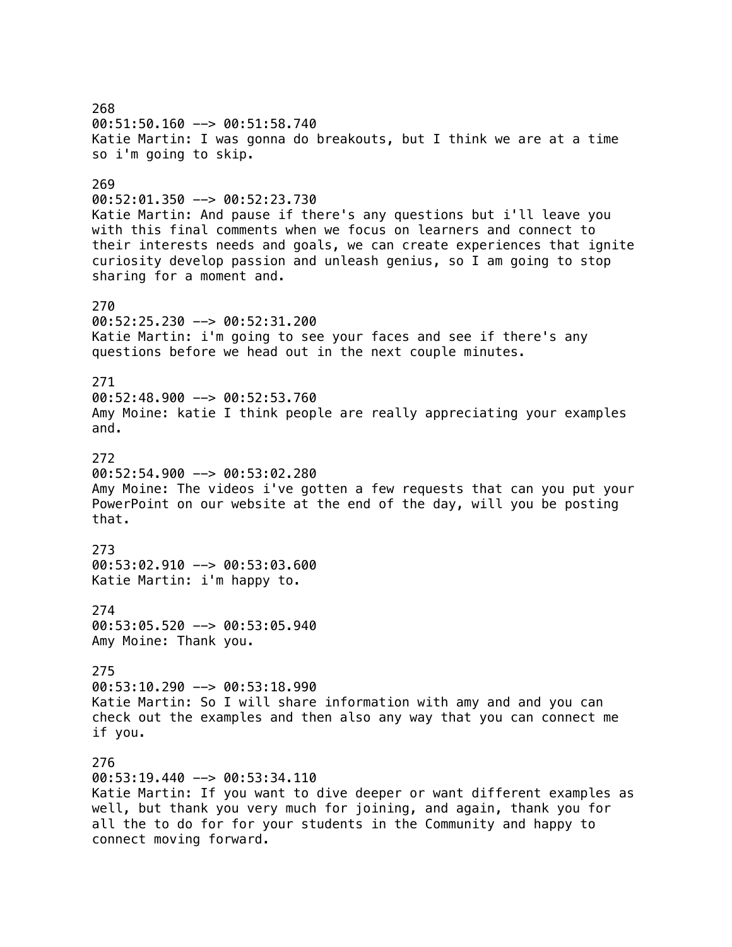268 00:51:50.160 --> 00:51:58.740 Katie Martin: I was gonna do breakouts, but I think we are at a time so i'm going to skip. 269 00:52:01.350 --> 00:52:23.730 Katie Martin: And pause if there's any questions but i'll leave you with this final comments when we focus on learners and connect to their interests needs and goals, we can create experiences that ignite curiosity develop passion and unleash genius, so I am going to stop sharing for a moment and. 270 00:52:25.230 --> 00:52:31.200 Katie Martin: i'm going to see your faces and see if there's any questions before we head out in the next couple minutes. 271 00:52:48.900 --> 00:52:53.760 Amy Moine: katie I think people are really appreciating your examples and. 272 00:52:54.900 --> 00:53:02.280 Amy Moine: The videos i've gotten a few requests that can you put your PowerPoint on our website at the end of the day, will you be posting that. 273 00:53:02.910 --> 00:53:03.600 Katie Martin: i'm happy to. 274 00:53:05.520 --> 00:53:05.940 Amy Moine: Thank you. 275 00:53:10.290 --> 00:53:18.990 Katie Martin: So I will share information with amy and and you can check out the examples and then also any way that you can connect me if you. 276 00:53:19.440 --> 00:53:34.110 Katie Martin: If you want to dive deeper or want different examples as well, but thank you very much for joining, and again, thank you for all the to do for for your students in the Community and happy to connect moving forward.